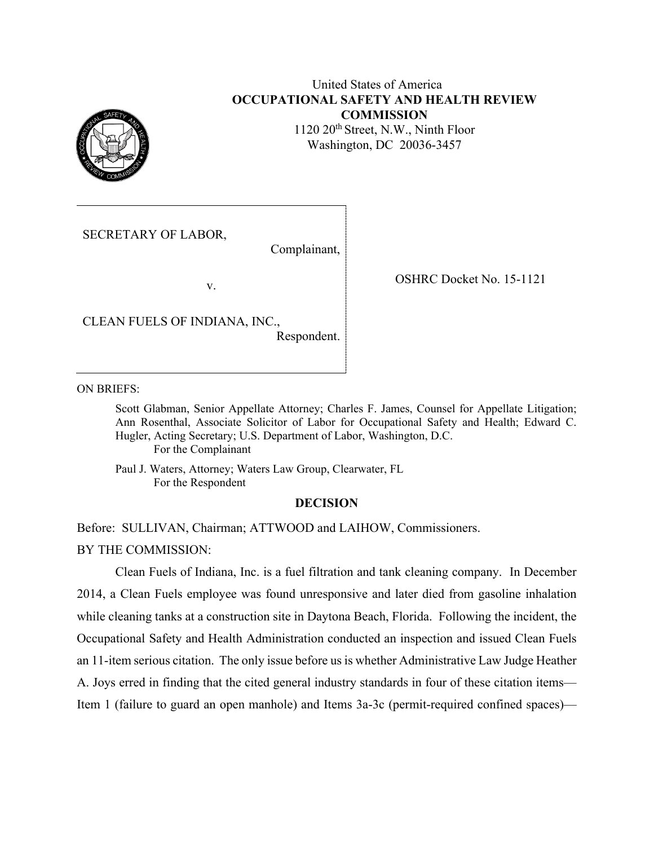

# United States of America **OCCUPATIONAL SAFETY AND HEALTH REVIEW COMMISSION**

1120 20<sup>th</sup> Street, N.W., Ninth Floor Washington, DC 20036-3457

SECRETARY OF LABOR,

Complainant,

v.

CLEAN FUELS OF INDIANA, INC.,

Respondent.

OSHRC Docket No. 15-1121

ON BRIEFS:

Scott Glabman, Senior Appellate Attorney; Charles F. James, Counsel for Appellate Litigation; Ann Rosenthal, Associate Solicitor of Labor for Occupational Safety and Health; Edward C. Hugler, Acting Secretary; U.S. Department of Labor, Washington, D.C. For the Complainant

Paul J. Waters, Attorney; Waters Law Group, Clearwater, FL For the Respondent

#### **DECISION**

Before: SULLIVAN, Chairman; ATTWOOD and LAIHOW, Commissioners.

BY THE COMMISSION:

Clean Fuels of Indiana, Inc. is a fuel filtration and tank cleaning company. In December 2014, a Clean Fuels employee was found unresponsive and later died from gasoline inhalation while cleaning tanks at a construction site in Daytona Beach, Florida. Following the incident, the Occupational Safety and Health Administration conducted an inspection and issued Clean Fuels an 11-item serious citation. The only issue before us is whether Administrative Law Judge Heather A. Joys erred in finding that the cited general industry standards in four of these citation items— Item 1 (failure to guard an open manhole) and Items 3a-3c (permit-required confined spaces)—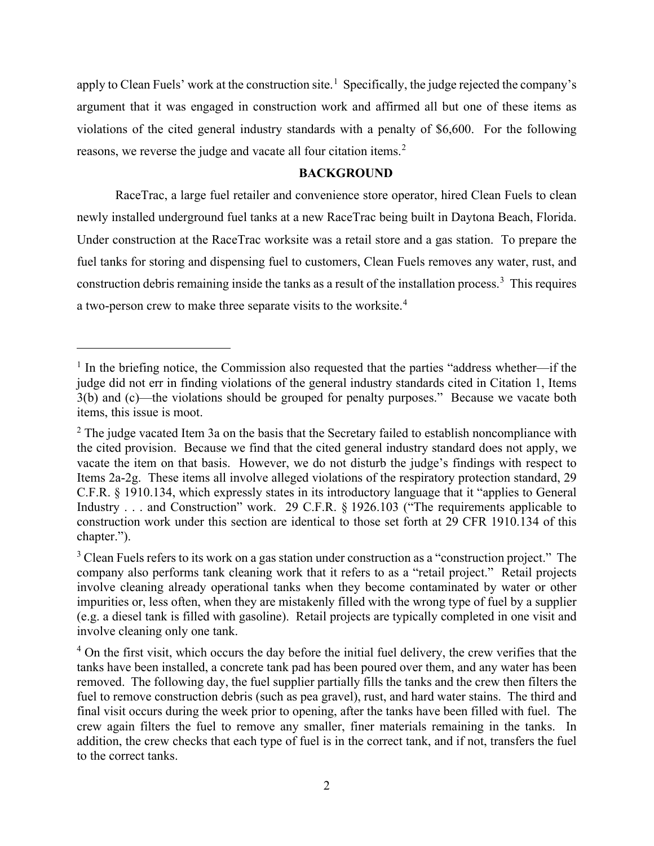apply to Clean Fuels' work at the construction site.<sup>[1](#page-1-0)</sup> Specifically, the judge rejected the company's argument that it was engaged in construction work and affirmed all but one of these items as violations of the cited general industry standards with a penalty of \$6,600. For the following reasons, we reverse the judge and vacate all four citation items.<sup>[2](#page-1-1)</sup>

### **BACKGROUND**

RaceTrac, a large fuel retailer and convenience store operator, hired Clean Fuels to clean newly installed underground fuel tanks at a new RaceTrac being built in Daytona Beach, Florida. Under construction at the RaceTrac worksite was a retail store and a gas station. To prepare the fuel tanks for storing and dispensing fuel to customers, Clean Fuels removes any water, rust, and construction debris remaining inside the tanks as a result of the installation process.<sup>[3](#page-1-2)</sup> This requires a two-person crew to make three separate visits to the worksite.<sup>[4](#page-1-3)</sup>

<span id="page-1-0"></span> $1$  In the briefing notice, the Commission also requested that the parties "address whether—if the judge did not err in finding violations of the general industry standards cited in Citation 1, Items 3(b) and (c)—the violations should be grouped for penalty purposes." Because we vacate both items, this issue is moot.

<span id="page-1-1"></span> $2$  The judge vacated Item 3a on the basis that the Secretary failed to establish noncompliance with the cited provision. Because we find that the cited general industry standard does not apply, we vacate the item on that basis. However, we do not disturb the judge's findings with respect to Items 2a-2g. These items all involve alleged violations of the respiratory protection standard, 29 C.F.R. § 1910.134, which expressly states in its introductory language that it "applies to General Industry . . . and Construction" work. 29 C.F.R. § 1926.103 ("The requirements applicable to construction work under this section are identical to those set forth at 29 CFR 1910.134 of this chapter.").

<span id="page-1-2"></span> $3$  Clean Fuels refers to its work on a gas station under construction as a "construction project." The company also performs tank cleaning work that it refers to as a "retail project." Retail projects involve cleaning already operational tanks when they become contaminated by water or other impurities or, less often, when they are mistakenly filled with the wrong type of fuel by a supplier (e.g. a diesel tank is filled with gasoline). Retail projects are typically completed in one visit and involve cleaning only one tank.

<span id="page-1-3"></span> $4$  On the first visit, which occurs the day before the initial fuel delivery, the crew verifies that the tanks have been installed, a concrete tank pad has been poured over them, and any water has been removed. The following day, the fuel supplier partially fills the tanks and the crew then filters the fuel to remove construction debris (such as pea gravel), rust, and hard water stains. The third and final visit occurs during the week prior to opening, after the tanks have been filled with fuel. The crew again filters the fuel to remove any smaller, finer materials remaining in the tanks. In addition, the crew checks that each type of fuel is in the correct tank, and if not, transfers the fuel to the correct tanks.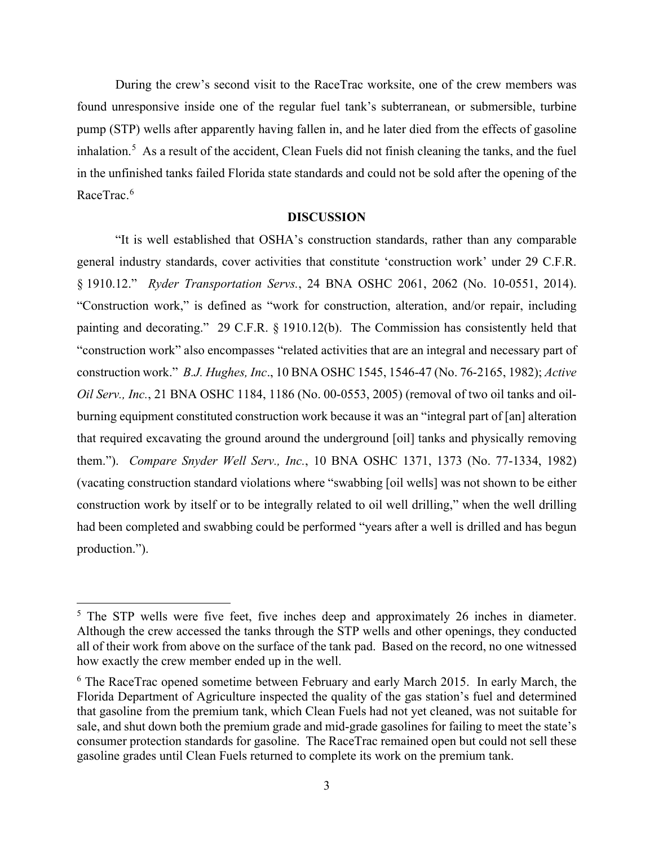During the crew's second visit to the RaceTrac worksite, one of the crew members was found unresponsive inside one of the regular fuel tank's subterranean, or submersible, turbine pump (STP) wells after apparently having fallen in, and he later died from the effects of gasoline inhalation.<sup>[5](#page-2-0)</sup> As a result of the accident, Clean Fuels did not finish cleaning the tanks, and the fuel in the unfinished tanks failed Florida state standards and could not be sold after the opening of the RaceTrac.<sup>[6](#page-2-1)</sup>

#### **DISCUSSION**

"It is well established that OSHA's construction standards, rather than any comparable general industry standards, cover activities that constitute 'construction work' under 29 C.F.R. § 1910.12." *Ryder Transportation Servs.*, 24 BNA OSHC 2061, 2062 (No. 10-0551, 2014). "Construction work," is defined as "work for construction, alteration, and/or repair, including painting and decorating." 29 C.F.R. § 1910.12(b). The Commission has consistently held that "construction work" also encompasses "related activities that are an integral and necessary part of construction work." *B.J. Hughes, Inc*., 10 BNA OSHC 1545, 1546-47 (No. 76-2165, 1982); *Active Oil Serv., Inc.*, 21 BNA OSHC 1184, 1186 (No. 00-0553, 2005) (removal of two oil tanks and oilburning equipment constituted construction work because it was an "integral part of [an] alteration that required excavating the ground around the underground [oil] tanks and physically removing them."). *Compare Snyder Well Serv., Inc.*, 10 BNA OSHC 1371, 1373 (No. 77-1334, 1982) (vacating construction standard violations where "swabbing [oil wells] was not shown to be either construction work by itself or to be integrally related to oil well drilling," when the well drilling had been completed and swabbing could be performed "years after a well is drilled and has begun production.").

<span id="page-2-0"></span><sup>&</sup>lt;sup>5</sup> The STP wells were five feet, five inches deep and approximately 26 inches in diameter. Although the crew accessed the tanks through the STP wells and other openings, they conducted all of their work from above on the surface of the tank pad. Based on the record, no one witnessed how exactly the crew member ended up in the well.

<span id="page-2-1"></span><sup>&</sup>lt;sup>6</sup> The RaceTrac opened sometime between February and early March 2015. In early March, the Florida Department of Agriculture inspected the quality of the gas station's fuel and determined that gasoline from the premium tank, which Clean Fuels had not yet cleaned, was not suitable for sale, and shut down both the premium grade and mid-grade gasolines for failing to meet the state's consumer protection standards for gasoline. The RaceTrac remained open but could not sell these gasoline grades until Clean Fuels returned to complete its work on the premium tank.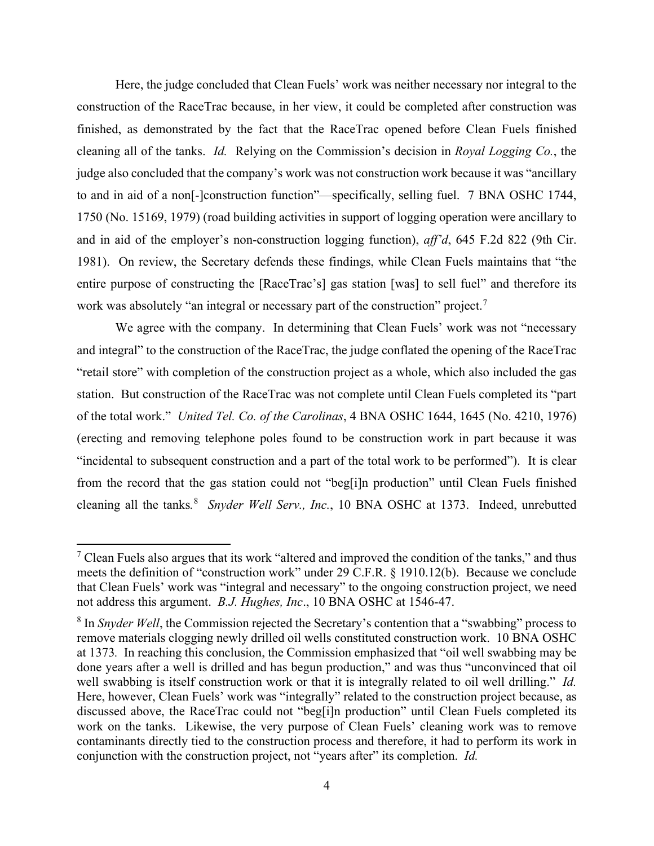Here, the judge concluded that Clean Fuels' work was neither necessary nor integral to the construction of the RaceTrac because, in her view, it could be completed after construction was finished, as demonstrated by the fact that the RaceTrac opened before Clean Fuels finished cleaning all of the tanks. *Id.* Relying on the Commission's decision in *Royal Logging Co.*, the judge also concluded that the company's work was not construction work because it was "ancillary to and in aid of a non[-]construction function"—specifically, selling fuel. 7 BNA OSHC 1744, 1750 (No. 15169, 1979) (road building activities in support of logging operation were ancillary to and in aid of the employer's non-construction logging function), *aff'd*, 645 F.2d 822 (9th Cir. 1981). On review, the Secretary defends these findings, while Clean Fuels maintains that "the entire purpose of constructing the [RaceTrac's] gas station [was] to sell fuel" and therefore its work was absolutely "an integral or necessary part of the construction" project.<sup>[7](#page-3-0)</sup>

We agree with the company. In determining that Clean Fuels' work was not "necessary and integral" to the construction of the RaceTrac, the judge conflated the opening of the RaceTrac "retail store" with completion of the construction project as a whole, which also included the gas station. But construction of the RaceTrac was not complete until Clean Fuels completed its "part of the total work." *United Tel. Co. of the Carolinas*, 4 BNA OSHC 1644, 1645 (No. 4210, 1976) (erecting and removing telephone poles found to be construction work in part because it was "incidental to subsequent construction and a part of the total work to be performed"). It is clear from the record that the gas station could not "beg[i]n production" until Clean Fuels finished cleaning all the tanks*.* [8](#page-3-1) *Snyder Well Serv., Inc.*, 10 BNA OSHC at 1373. Indeed, unrebutted

<span id="page-3-0"></span> $<sup>7</sup>$  Clean Fuels also argues that its work "altered and improved the condition of the tanks," and thus</sup> meets the definition of "construction work" under 29 C.F.R. § 1910.12(b). Because we conclude that Clean Fuels' work was "integral and necessary" to the ongoing construction project, we need not address this argument. *B.J. Hughes, Inc*., 10 BNA OSHC at 1546-47.

<span id="page-3-1"></span><sup>&</sup>lt;sup>8</sup> In *Snyder Well*, the Commission rejected the Secretary's contention that a "swabbing" process to remove materials clogging newly drilled oil wells constituted construction work. 10 BNA OSHC at 1373*.* In reaching this conclusion, the Commission emphasized that "oil well swabbing may be done years after a well is drilled and has begun production," and was thus "unconvinced that oil well swabbing is itself construction work or that it is integrally related to oil well drilling." *Id.*  Here, however, Clean Fuels' work was "integrally" related to the construction project because, as discussed above, the RaceTrac could not "beg[i]n production" until Clean Fuels completed its work on the tanks. Likewise, the very purpose of Clean Fuels' cleaning work was to remove contaminants directly tied to the construction process and therefore, it had to perform its work in conjunction with the construction project, not "years after" its completion. *Id.*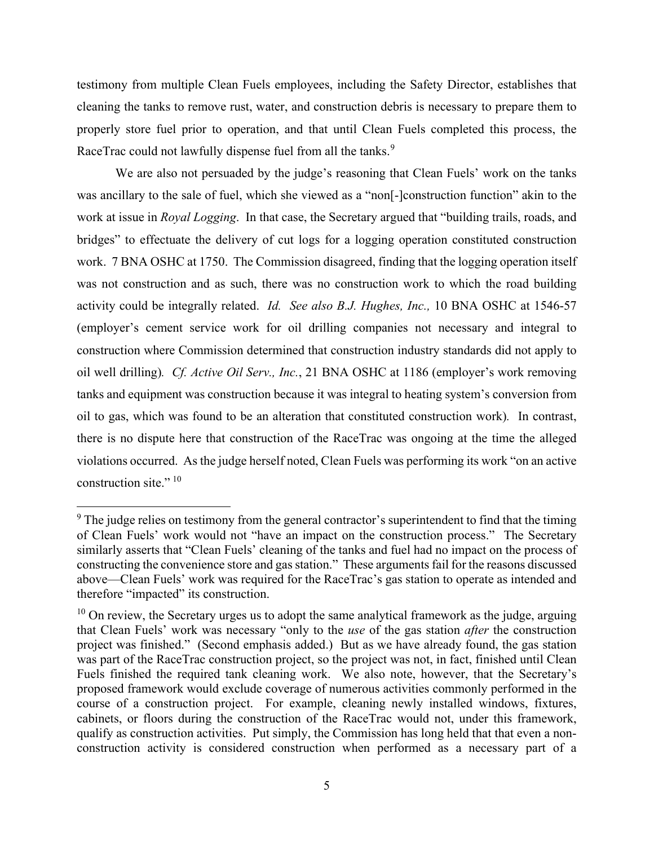testimony from multiple Clean Fuels employees, including the Safety Director, establishes that cleaning the tanks to remove rust, water, and construction debris is necessary to prepare them to properly store fuel prior to operation, and that until Clean Fuels completed this process, the RaceTrac could not lawfully dispense fuel from all the tanks.<sup>[9](#page-4-0)</sup>

We are also not persuaded by the judge's reasoning that Clean Fuels' work on the tanks was ancillary to the sale of fuel, which she viewed as a "non[-]construction function" akin to the work at issue in *Royal Logging*. In that case, the Secretary argued that "building trails, roads, and bridges" to effectuate the delivery of cut logs for a logging operation constituted construction work. 7 BNA OSHC at 1750. The Commission disagreed, finding that the logging operation itself was not construction and as such, there was no construction work to which the road building activity could be integrally related. *Id. See also B.J. Hughes, Inc.,* 10 BNA OSHC at 1546-57 (employer's cement service work for oil drilling companies not necessary and integral to construction where Commission determined that construction industry standards did not apply to oil well drilling)*. Cf. Active Oil Serv., Inc.*, 21 BNA OSHC at 1186 (employer's work removing tanks and equipment was construction because it was integral to heating system's conversion from oil to gas, which was found to be an alteration that constituted construction work)*.* In contrast, there is no dispute here that construction of the RaceTrac was ongoing at the time the alleged violations occurred. As the judge herself noted, Clean Fuels was performing its work "on an active construction site."<sup>10</sup>

<span id="page-4-0"></span> $9<sup>9</sup>$  The judge relies on testimony from the general contractor's superintendent to find that the timing of Clean Fuels' work would not "have an impact on the construction process." The Secretary similarly asserts that "Clean Fuels' cleaning of the tanks and fuel had no impact on the process of constructing the convenience store and gas station." These arguments fail for the reasons discussed above—Clean Fuels' work was required for the RaceTrac's gas station to operate as intended and therefore "impacted" its construction.

<span id="page-4-1"></span> $10$  On review, the Secretary urges us to adopt the same analytical framework as the judge, arguing that Clean Fuels' work was necessary "only to the *use* of the gas station *after* the construction project was finished." (Second emphasis added.) But as we have already found, the gas station was part of the RaceTrac construction project, so the project was not, in fact, finished until Clean Fuels finished the required tank cleaning work. We also note, however, that the Secretary's proposed framework would exclude coverage of numerous activities commonly performed in the course of a construction project. For example, cleaning newly installed windows, fixtures, cabinets, or floors during the construction of the RaceTrac would not, under this framework, qualify as construction activities. Put simply, the Commission has long held that that even a nonconstruction activity is considered construction when performed as a necessary part of a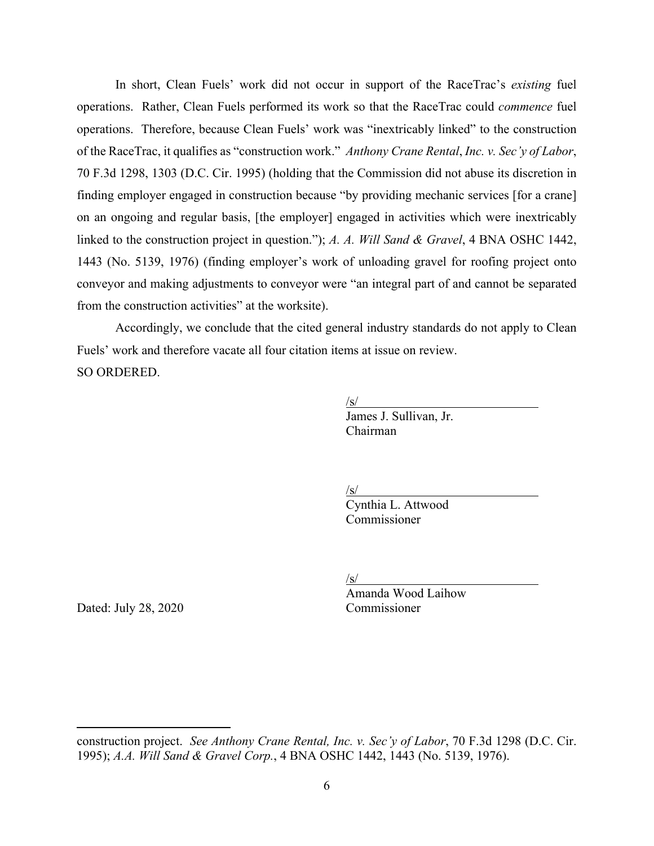In short, Clean Fuels' work did not occur in support of the RaceTrac's *existing* fuel operations. Rather, Clean Fuels performed its work so that the RaceTrac could *commence* fuel operations. Therefore, because Clean Fuels' work was "inextricably linked" to the construction of the RaceTrac, it qualifies as "construction work." *Anthony Crane Rental*, *Inc. v. Sec'y of Labor*, 70 F.3d 1298, 1303 (D.C. Cir. 1995) (holding that the Commission did not abuse its discretion in finding employer engaged in construction because "by providing mechanic services [for a crane] on an ongoing and regular basis, [the employer] engaged in activities which were inextricably linked to the construction project in question."); *A. A. Will Sand & Gravel*, 4 BNA OSHC 1442, 1443 (No. 5139, 1976) (finding employer's work of unloading gravel for roofing project onto conveyor and making adjustments to conveyor were "an integral part of and cannot be separated from the construction activities" at the worksite).

Accordingly, we conclude that the cited general industry standards do not apply to Clean Fuels' work and therefore vacate all four citation items at issue on review. SO ORDERED.

> /s/ James J. Sullivan, Jr. Chairman

/s/

Cynthia L. Attwood Commissioner

/s/

Dated: July 28, 2020 Commissioner

Amanda Wood Laihow

construction project. *See Anthony Crane Rental, Inc. v. Sec'y of Labor*, 70 F.3d 1298 (D.C. Cir. 1995); *A.A. Will Sand & Gravel Corp.*, 4 BNA OSHC 1442, 1443 (No. 5139, 1976).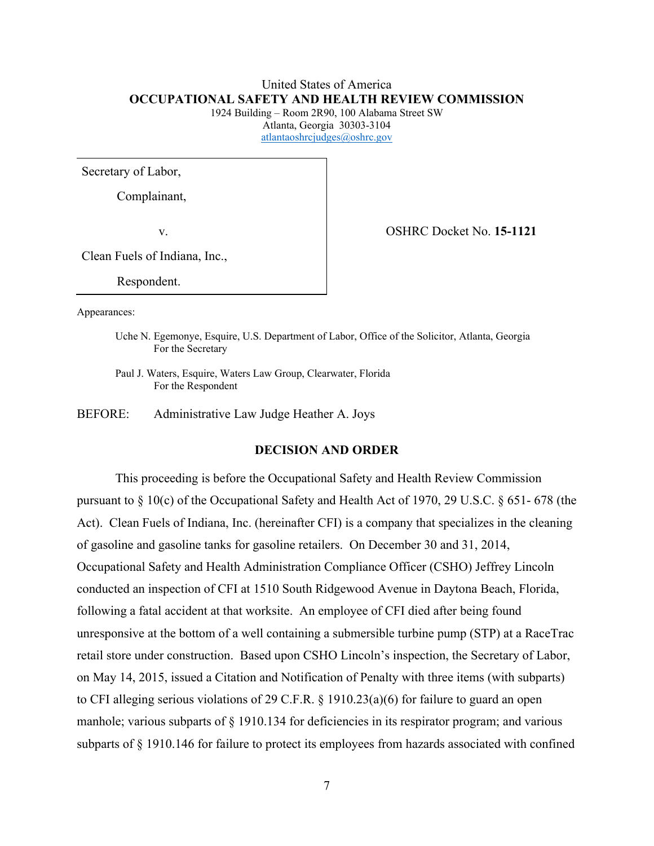# United States of America **OCCUPATIONAL SAFETY AND HEALTH REVIEW COMMISSION**

1924 Building – Room 2R90, 100 Alabama Street SW Atlanta, Georgia 30303-3104 [atlantaoshrcjudges@oshrc.gov](mailto:atlantaoshrcjudges@oshrc.gov)

Secretary of Labor,

Complainant,

v. OSHRC Docket No. **15-1121**

Clean Fuels of Indiana, Inc.,

Respondent.

Appearances:

Uche N. Egemonye, Esquire, U.S. Department of Labor, Office of the Solicitor, Atlanta, Georgia For the Secretary

Paul J. Waters, Esquire, Waters Law Group, Clearwater, Florida For the Respondent

BEFORE: Administrative Law Judge Heather A. Joys

### **DECISION AND ORDER**

This proceeding is before the Occupational Safety and Health Review Commission pursuant to § 10(c) of the Occupational Safety and Health Act of 1970, 29 U.S.C. § 651- 678 (the Act). Clean Fuels of Indiana, Inc. (hereinafter CFI) is a company that specializes in the cleaning of gasoline and gasoline tanks for gasoline retailers. On December 30 and 31, 2014, Occupational Safety and Health Administration Compliance Officer (CSHO) Jeffrey Lincoln conducted an inspection of CFI at 1510 South Ridgewood Avenue in Daytona Beach, Florida, following a fatal accident at that worksite. An employee of CFI died after being found unresponsive at the bottom of a well containing a submersible turbine pump (STP) at a RaceTrac retail store under construction. Based upon CSHO Lincoln's inspection, the Secretary of Labor, on May 14, 2015, issued a Citation and Notification of Penalty with three items (with subparts) to CFI alleging serious violations of 29 C.F.R. § 1910.23(a)(6) for failure to guard an open manhole; various subparts of § 1910.134 for deficiencies in its respirator program; and various subparts of § 1910.146 for failure to protect its employees from hazards associated with confined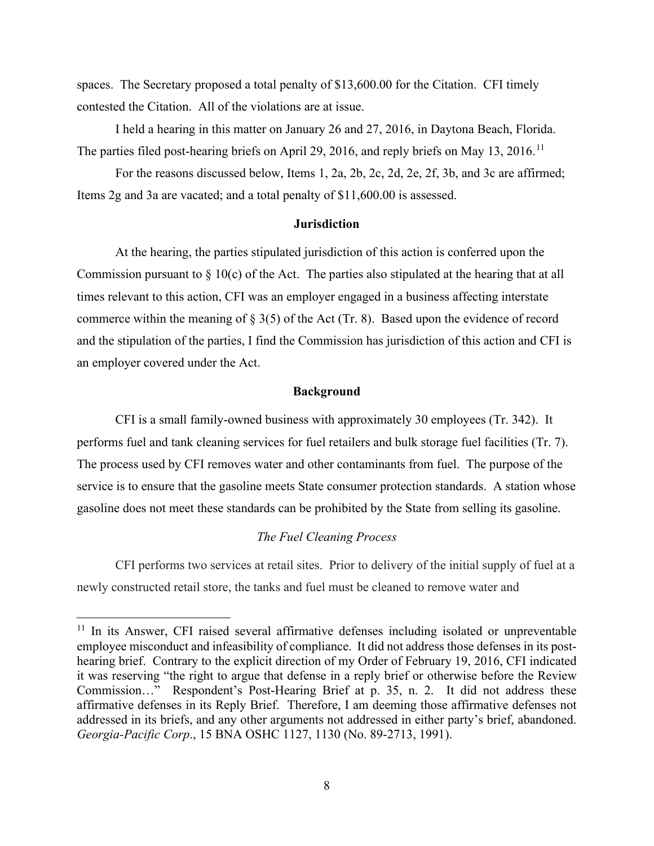spaces. The Secretary proposed a total penalty of \$13,600.00 for the Citation. CFI timely contested the Citation. All of the violations are at issue.

 I held a hearing in this matter on January 26 and 27, 2016, in Daytona Beach, Florida. The parties filed post-hearing briefs on April 29, 2016, and reply briefs on May 13, 2016.<sup>[11](#page-7-0)</sup>

For the reasons discussed below, Items 1, 2a, 2b, 2c, 2d, 2e, 2f, 3b, and 3c are affirmed; Items 2g and 3a are vacated; and a total penalty of \$11,600.00 is assessed.

# **Jurisdiction**

At the hearing, the parties stipulated jurisdiction of this action is conferred upon the Commission pursuant to  $\S 10(c)$  of the Act. The parties also stipulated at the hearing that at all times relevant to this action, CFI was an employer engaged in a business affecting interstate commerce within the meaning of  $\S 3(5)$  of the Act (Tr. 8). Based upon the evidence of record and the stipulation of the parties, I find the Commission has jurisdiction of this action and CFI is an employer covered under the Act.

#### **Background**

CFI is a small family-owned business with approximately 30 employees (Tr. 342). It performs fuel and tank cleaning services for fuel retailers and bulk storage fuel facilities (Tr. 7). The process used by CFI removes water and other contaminants from fuel. The purpose of the service is to ensure that the gasoline meets State consumer protection standards. A station whose gasoline does not meet these standards can be prohibited by the State from selling its gasoline.

# *The Fuel Cleaning Process*

CFI performs two services at retail sites. Prior to delivery of the initial supply of fuel at a newly constructed retail store, the tanks and fuel must be cleaned to remove water and

<span id="page-7-0"></span> $11$  In its Answer, CFI raised several affirmative defenses including isolated or unpreventable employee misconduct and infeasibility of compliance. It did not address those defenses in its posthearing brief. Contrary to the explicit direction of my Order of February 19, 2016, CFI indicated it was reserving "the right to argue that defense in a reply brief or otherwise before the Review Commission…" Respondent's Post-Hearing Brief at p. 35, n. 2. It did not address these affirmative defenses in its Reply Brief. Therefore, I am deeming those affirmative defenses not addressed in its briefs, and any other arguments not addressed in either party's brief, abandoned. *Georgia-Pacific Corp*., 15 BNA OSHC 1127, 1130 (No. 89-2713, 1991).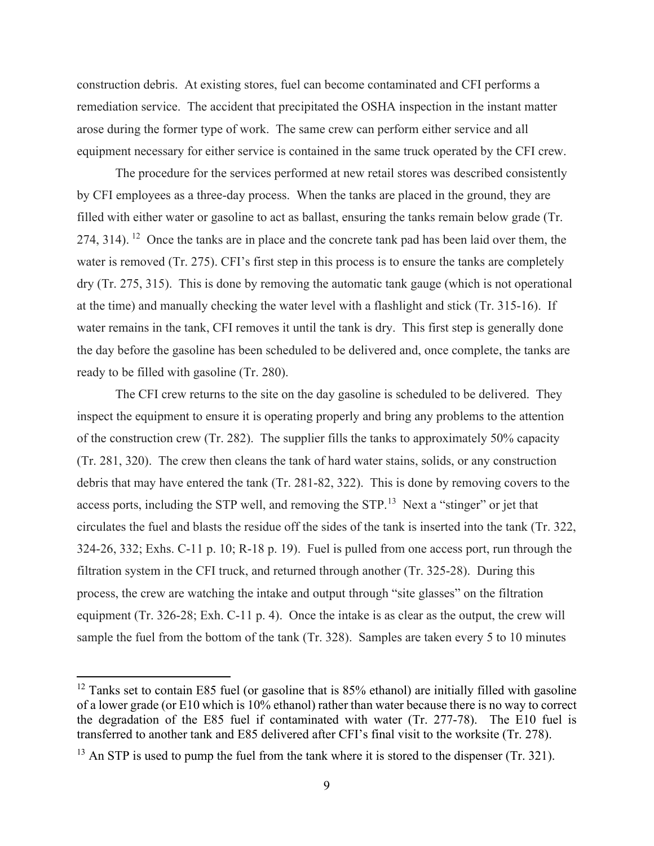construction debris. At existing stores, fuel can become contaminated and CFI performs a remediation service. The accident that precipitated the OSHA inspection in the instant matter arose during the former type of work. The same crew can perform either service and all equipment necessary for either service is contained in the same truck operated by the CFI crew.

The procedure for the services performed at new retail stores was described consistently by CFI employees as a three-day process. When the tanks are placed in the ground, they are filled with either water or gasoline to act as ballast, ensuring the tanks remain below grade (Tr. 274, 314). <sup>12</sup> Once the tanks are in place and the concrete tank pad has been laid over them, the water is removed (Tr. 275). CFI's first step in this process is to ensure the tanks are completely dry (Tr. 275, 315). This is done by removing the automatic tank gauge (which is not operational at the time) and manually checking the water level with a flashlight and stick (Tr. 315-16). If water remains in the tank, CFI removes it until the tank is dry. This first step is generally done the day before the gasoline has been scheduled to be delivered and, once complete, the tanks are ready to be filled with gasoline (Tr. 280).

The CFI crew returns to the site on the day gasoline is scheduled to be delivered. They inspect the equipment to ensure it is operating properly and bring any problems to the attention of the construction crew (Tr. 282). The supplier fills the tanks to approximately 50% capacity (Tr. 281, 320). The crew then cleans the tank of hard water stains, solids, or any construction debris that may have entered the tank (Tr. 281-82, 322). This is done by removing covers to the access ports, including the STP well, and removing the STP.<sup>[13](#page-8-1)</sup> Next a "stinger" or jet that circulates the fuel and blasts the residue off the sides of the tank is inserted into the tank (Tr. 322, 324-26, 332; Exhs. C-11 p. 10; R-18 p. 19). Fuel is pulled from one access port, run through the filtration system in the CFI truck, and returned through another (Tr. 325-28). During this process, the crew are watching the intake and output through "site glasses" on the filtration equipment (Tr. 326-28; Exh. C-11 p. 4). Once the intake is as clear as the output, the crew will sample the fuel from the bottom of the tank (Tr. 328). Samples are taken every 5 to 10 minutes

<span id="page-8-0"></span> $12$  Tanks set to contain E85 fuel (or gasoline that is 85% ethanol) are initially filled with gasoline of a lower grade (or E10 which is 10% ethanol) rather than water because there is no way to correct the degradation of the E85 fuel if contaminated with water (Tr. 277-78). The E10 fuel is transferred to another tank and E85 delivered after CFI's final visit to the worksite (Tr. 278).

<span id="page-8-1"></span> $13$  An STP is used to pump the fuel from the tank where it is stored to the dispenser (Tr. 321).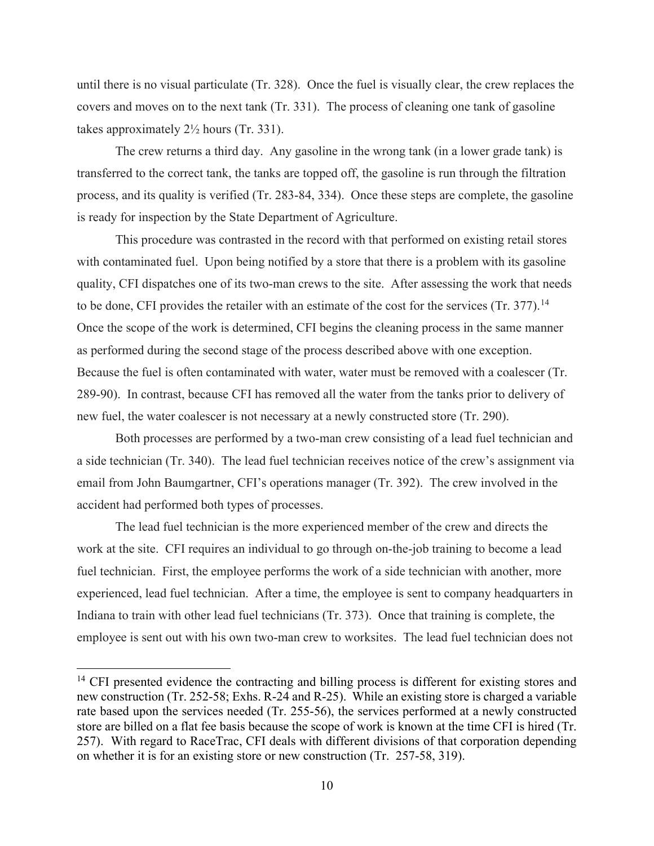until there is no visual particulate (Tr. 328). Once the fuel is visually clear, the crew replaces the covers and moves on to the next tank (Tr. 331). The process of cleaning one tank of gasoline takes approximately 2½ hours (Tr. 331).

The crew returns a third day. Any gasoline in the wrong tank (in a lower grade tank) is transferred to the correct tank, the tanks are topped off, the gasoline is run through the filtration process, and its quality is verified (Tr. 283-84, 334). Once these steps are complete, the gasoline is ready for inspection by the State Department of Agriculture.

This procedure was contrasted in the record with that performed on existing retail stores with contaminated fuel. Upon being notified by a store that there is a problem with its gasoline quality, CFI dispatches one of its two-man crews to the site. After assessing the work that needs to be done, CFI provides the retailer with an estimate of the cost for the services (Tr. 377).<sup>[14](#page-9-0)</sup> Once the scope of the work is determined, CFI begins the cleaning process in the same manner as performed during the second stage of the process described above with one exception. Because the fuel is often contaminated with water, water must be removed with a coalescer (Tr. 289-90). In contrast, because CFI has removed all the water from the tanks prior to delivery of new fuel, the water coalescer is not necessary at a newly constructed store (Tr. 290).

 Both processes are performed by a two-man crew consisting of a lead fuel technician and a side technician (Tr. 340). The lead fuel technician receives notice of the crew's assignment via email from John Baumgartner, CFI's operations manager (Tr. 392). The crew involved in the accident had performed both types of processes.

The lead fuel technician is the more experienced member of the crew and directs the work at the site. CFI requires an individual to go through on-the-job training to become a lead fuel technician. First, the employee performs the work of a side technician with another, more experienced, lead fuel technician. After a time, the employee is sent to company headquarters in Indiana to train with other lead fuel technicians (Tr. 373). Once that training is complete, the employee is sent out with his own two-man crew to worksites. The lead fuel technician does not

<span id="page-9-0"></span><sup>&</sup>lt;sup>14</sup> CFI presented evidence the contracting and billing process is different for existing stores and new construction (Tr. 252-58; Exhs. R-24 and R-25). While an existing store is charged a variable rate based upon the services needed (Tr. 255-56), the services performed at a newly constructed store are billed on a flat fee basis because the scope of work is known at the time CFI is hired (Tr. 257). With regard to RaceTrac, CFI deals with different divisions of that corporation depending on whether it is for an existing store or new construction (Tr. 257-58, 319).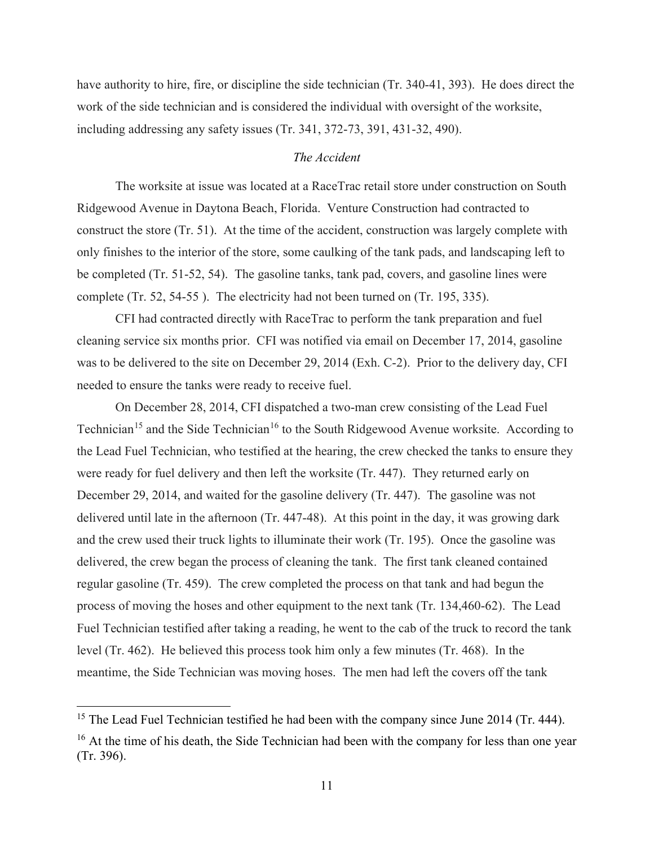have authority to hire, fire, or discipline the side technician (Tr. 340-41, 393). He does direct the work of the side technician and is considered the individual with oversight of the worksite, including addressing any safety issues (Tr. 341, 372-73, 391, 431-32, 490).

# *The Accident*

The worksite at issue was located at a RaceTrac retail store under construction on South Ridgewood Avenue in Daytona Beach, Florida. Venture Construction had contracted to construct the store (Tr. 51). At the time of the accident, construction was largely complete with only finishes to the interior of the store, some caulking of the tank pads, and landscaping left to be completed (Tr. 51-52, 54). The gasoline tanks, tank pad, covers, and gasoline lines were complete (Tr. 52, 54-55 ). The electricity had not been turned on (Tr. 195, 335).

CFI had contracted directly with RaceTrac to perform the tank preparation and fuel cleaning service six months prior. CFI was notified via email on December 17, 2014, gasoline was to be delivered to the site on December 29, 2014 (Exh. C-2). Prior to the delivery day, CFI needed to ensure the tanks were ready to receive fuel.

On December 28, 2014, CFI dispatched a two-man crew consisting of the Lead Fuel Technician<sup>15</sup> and the Side Technician<sup>[16](#page-10-1)</sup> to the South Ridgewood Avenue worksite. According to the Lead Fuel Technician, who testified at the hearing, the crew checked the tanks to ensure they were ready for fuel delivery and then left the worksite (Tr. 447). They returned early on December 29, 2014, and waited for the gasoline delivery (Tr. 447). The gasoline was not delivered until late in the afternoon (Tr. 447-48). At this point in the day, it was growing dark and the crew used their truck lights to illuminate their work (Tr. 195). Once the gasoline was delivered, the crew began the process of cleaning the tank. The first tank cleaned contained regular gasoline (Tr. 459). The crew completed the process on that tank and had begun the process of moving the hoses and other equipment to the next tank (Tr. 134,460-62). The Lead Fuel Technician testified after taking a reading, he went to the cab of the truck to record the tank level (Tr. 462). He believed this process took him only a few minutes (Tr. 468). In the meantime, the Side Technician was moving hoses. The men had left the covers off the tank

<span id="page-10-1"></span><span id="page-10-0"></span><sup>&</sup>lt;sup>15</sup> The Lead Fuel Technician testified he had been with the company since June 2014 (Tr. 444). <sup>16</sup> At the time of his death, the Side Technician had been with the company for less than one year (Tr. 396).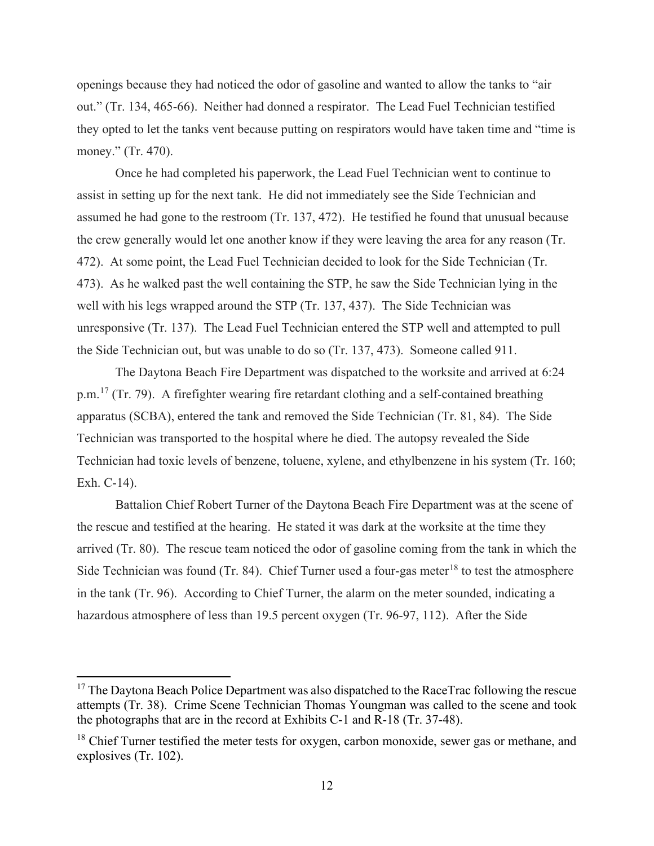openings because they had noticed the odor of gasoline and wanted to allow the tanks to "air out." (Tr. 134, 465-66). Neither had donned a respirator. The Lead Fuel Technician testified they opted to let the tanks vent because putting on respirators would have taken time and "time is money." (Tr. 470).

 Once he had completed his paperwork, the Lead Fuel Technician went to continue to assist in setting up for the next tank. He did not immediately see the Side Technician and assumed he had gone to the restroom (Tr. 137, 472). He testified he found that unusual because the crew generally would let one another know if they were leaving the area for any reason (Tr. 472). At some point, the Lead Fuel Technician decided to look for the Side Technician (Tr. 473). As he walked past the well containing the STP, he saw the Side Technician lying in the well with his legs wrapped around the STP (Tr. 137, 437). The Side Technician was unresponsive (Tr. 137). The Lead Fuel Technician entered the STP well and attempted to pull the Side Technician out, but was unable to do so (Tr. 137, 473). Someone called 911.

The Daytona Beach Fire Department was dispatched to the worksite and arrived at 6:24 p.m.<sup>17</sup> (Tr. 79). A firefighter wearing fire retardant clothing and a self-contained breathing apparatus (SCBA), entered the tank and removed the Side Technician (Tr. 81, 84). The Side Technician was transported to the hospital where he died. The autopsy revealed the Side Technician had toxic levels of benzene, toluene, xylene, and ethylbenzene in his system (Tr. 160; Exh. C-14).

Battalion Chief Robert Turner of the Daytona Beach Fire Department was at the scene of the rescue and testified at the hearing. He stated it was dark at the worksite at the time they arrived (Tr. 80). The rescue team noticed the odor of gasoline coming from the tank in which the Side Technician was found (Tr. 84). Chief Turner used a four-gas meter<sup>[18](#page-11-1)</sup> to test the atmosphere in the tank (Tr. 96). According to Chief Turner, the alarm on the meter sounded, indicating a hazardous atmosphere of less than 19.5 percent oxygen (Tr. 96-97, 112). After the Side

<span id="page-11-0"></span> $17$  The Daytona Beach Police Department was also dispatched to the RaceTrac following the rescue attempts (Tr. 38). Crime Scene Technician Thomas Youngman was called to the scene and took the photographs that are in the record at Exhibits C-1 and R-18 (Tr. 37-48).

<span id="page-11-1"></span> $18$  Chief Turner testified the meter tests for oxygen, carbon monoxide, sewer gas or methane, and explosives (Tr. 102).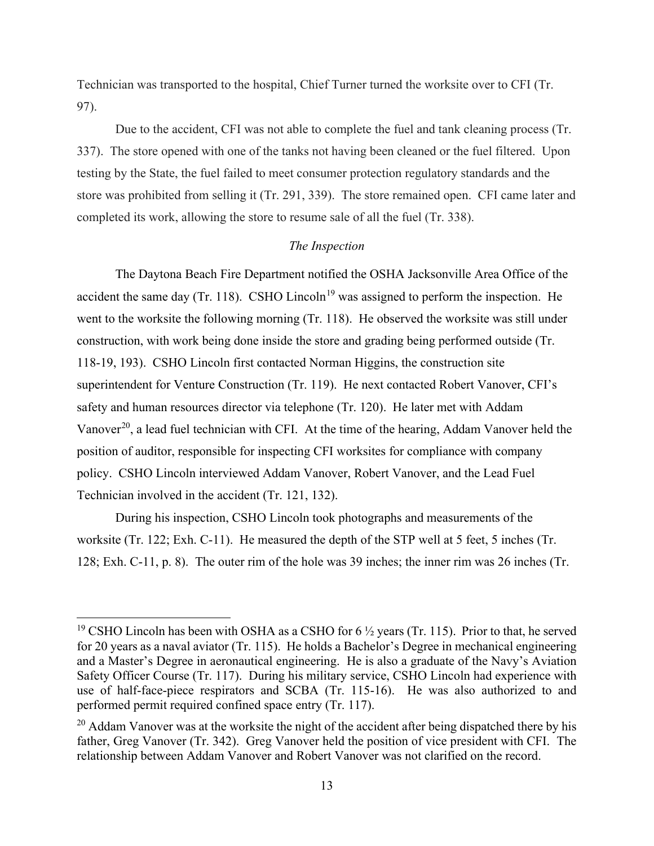Technician was transported to the hospital, Chief Turner turned the worksite over to CFI (Tr. 97).

 Due to the accident, CFI was not able to complete the fuel and tank cleaning process (Tr. 337). The store opened with one of the tanks not having been cleaned or the fuel filtered. Upon testing by the State, the fuel failed to meet consumer protection regulatory standards and the store was prohibited from selling it (Tr. 291, 339). The store remained open. CFI came later and completed its work, allowing the store to resume sale of all the fuel (Tr. 338).

# *The Inspection*

The Daytona Beach Fire Department notified the OSHA Jacksonville Area Office of the accident the same day (Tr. 118). CSHO Lincoln<sup>[19](#page-12-0)</sup> was assigned to perform the inspection. He went to the worksite the following morning (Tr. 118). He observed the worksite was still under construction, with work being done inside the store and grading being performed outside (Tr. 118-19, 193). CSHO Lincoln first contacted Norman Higgins, the construction site superintendent for Venture Construction (Tr. 119). He next contacted Robert Vanover, CFI's safety and human resources director via telephone (Tr. 120). He later met with Addam Vanover<sup>20</sup>, a lead fuel technician with CFI. At the time of the hearing, Addam Vanover held the position of auditor, responsible for inspecting CFI worksites for compliance with company policy. CSHO Lincoln interviewed Addam Vanover, Robert Vanover, and the Lead Fuel Technician involved in the accident (Tr. 121, 132).

 During his inspection, CSHO Lincoln took photographs and measurements of the worksite (Tr. 122; Exh. C-11). He measured the depth of the STP well at 5 feet, 5 inches (Tr. 128; Exh. C-11, p. 8). The outer rim of the hole was 39 inches; the inner rim was 26 inches (Tr.

<span id="page-12-0"></span><sup>&</sup>lt;sup>19</sup> CSHO Lincoln has been with OSHA as a CSHO for  $6\frac{1}{2}$  years (Tr. 115). Prior to that, he served for 20 years as a naval aviator (Tr. 115). He holds a Bachelor's Degree in mechanical engineering and a Master's Degree in aeronautical engineering. He is also a graduate of the Navy's Aviation Safety Officer Course (Tr. 117). During his military service, CSHO Lincoln had experience with use of half-face-piece respirators and SCBA (Tr. 115-16). He was also authorized to and performed permit required confined space entry (Tr. 117).

<span id="page-12-1"></span> $20$  Addam Vanover was at the worksite the night of the accident after being dispatched there by his father, Greg Vanover (Tr. 342). Greg Vanover held the position of vice president with CFI. The relationship between Addam Vanover and Robert Vanover was not clarified on the record.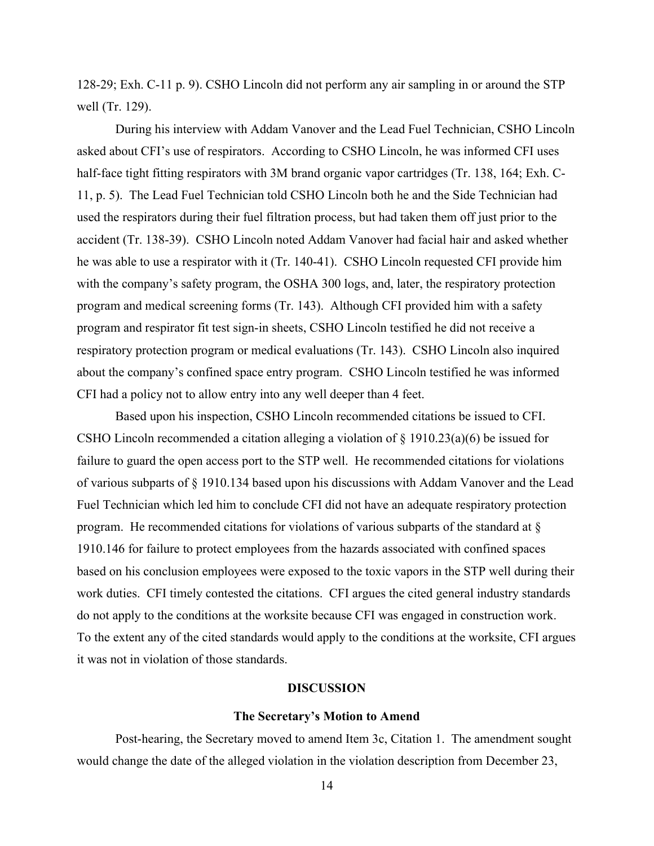128-29; Exh. C-11 p. 9). CSHO Lincoln did not perform any air sampling in or around the STP well (Tr. 129).

During his interview with Addam Vanover and the Lead Fuel Technician, CSHO Lincoln asked about CFI's use of respirators. According to CSHO Lincoln, he was informed CFI uses half-face tight fitting respirators with 3M brand organic vapor cartridges (Tr. 138, 164; Exh. C-11, p. 5). The Lead Fuel Technician told CSHO Lincoln both he and the Side Technician had used the respirators during their fuel filtration process, but had taken them off just prior to the accident (Tr. 138-39). CSHO Lincoln noted Addam Vanover had facial hair and asked whether he was able to use a respirator with it (Tr. 140-41). CSHO Lincoln requested CFI provide him with the company's safety program, the OSHA 300 logs, and, later, the respiratory protection program and medical screening forms (Tr. 143). Although CFI provided him with a safety program and respirator fit test sign-in sheets, CSHO Lincoln testified he did not receive a respiratory protection program or medical evaluations (Tr. 143). CSHO Lincoln also inquired about the company's confined space entry program. CSHO Lincoln testified he was informed CFI had a policy not to allow entry into any well deeper than 4 feet.

 Based upon his inspection, CSHO Lincoln recommended citations be issued to CFI. CSHO Lincoln recommended a citation alleging a violation of  $\S$  1910.23(a)(6) be issued for failure to guard the open access port to the STP well. He recommended citations for violations of various subparts of § 1910.134 based upon his discussions with Addam Vanover and the Lead Fuel Technician which led him to conclude CFI did not have an adequate respiratory protection program. He recommended citations for violations of various subparts of the standard at § 1910.146 for failure to protect employees from the hazards associated with confined spaces based on his conclusion employees were exposed to the toxic vapors in the STP well during their work duties. CFI timely contested the citations. CFI argues the cited general industry standards do not apply to the conditions at the worksite because CFI was engaged in construction work. To the extent any of the cited standards would apply to the conditions at the worksite, CFI argues it was not in violation of those standards.

### **DISCUSSION**

#### **The Secretary's Motion to Amend**

Post-hearing, the Secretary moved to amend Item 3c, Citation 1. The amendment sought would change the date of the alleged violation in the violation description from December 23,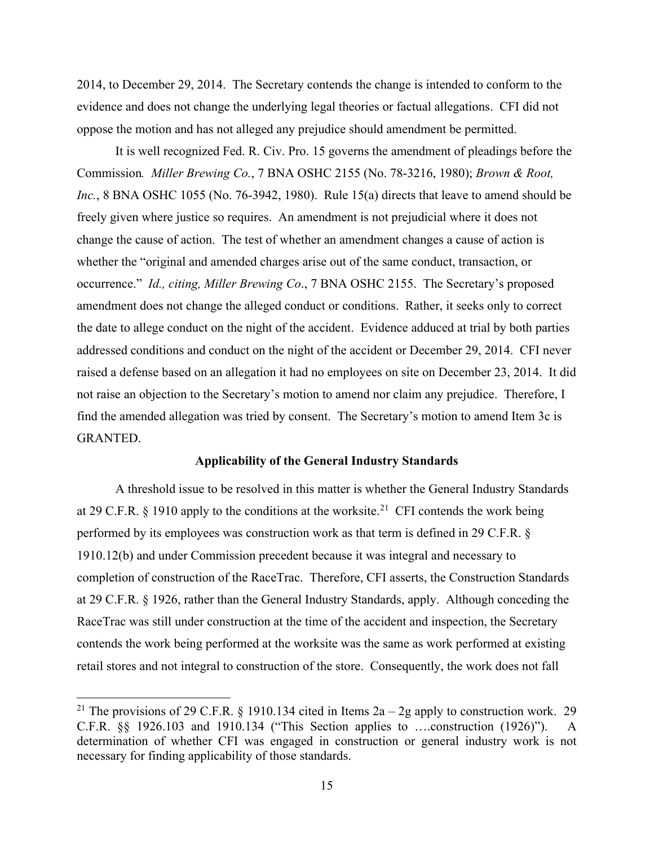2014, to December 29, 2014. The Secretary contends the change is intended to conform to the evidence and does not change the underlying legal theories or factual allegations. CFI did not oppose the motion and has not alleged any prejudice should amendment be permitted.

It is well recognized Fed. R. Civ. Pro. 15 governs the amendment of pleadings before the Commission*. Miller Brewing Co.*, 7 BNA OSHC 2155 (No. 78-3216, 1980); *Brown & Root, Inc.*, 8 BNA OSHC 1055 (No. 76-3942, 1980). Rule 15(a) directs that leave to amend should be freely given where justice so requires. An amendment is not prejudicial where it does not change the cause of action. The test of whether an amendment changes a cause of action is whether the "original and amended charges arise out of the same conduct, transaction, or occurrence." *Id., citing, Miller Brewing Co*., 7 BNA OSHC 2155. The Secretary's proposed amendment does not change the alleged conduct or conditions. Rather, it seeks only to correct the date to allege conduct on the night of the accident. Evidence adduced at trial by both parties addressed conditions and conduct on the night of the accident or December 29, 2014. CFI never raised a defense based on an allegation it had no employees on site on December 23, 2014. It did not raise an objection to the Secretary's motion to amend nor claim any prejudice. Therefore, I find the amended allegation was tried by consent. The Secretary's motion to amend Item 3c is GRANTED.

### **Applicability of the General Industry Standards**

A threshold issue to be resolved in this matter is whether the General Industry Standards at 29 C.F.R. § 1910 apply to the conditions at the worksite.<sup>[21](#page-14-0)</sup> CFI contends the work being performed by its employees was construction work as that term is defined in 29 C.F.R. § 1910.12(b) and under Commission precedent because it was integral and necessary to completion of construction of the RaceTrac. Therefore, CFI asserts, the Construction Standards at 29 C.F.R. § 1926, rather than the General Industry Standards, apply. Although conceding the RaceTrac was still under construction at the time of the accident and inspection, the Secretary contends the work being performed at the worksite was the same as work performed at existing retail stores and not integral to construction of the store. Consequently, the work does not fall

<span id="page-14-0"></span><sup>&</sup>lt;sup>21</sup> The provisions of 29 C.F.R. § 1910.134 cited in Items  $2a - 2g$  apply to construction work. 29 C.F.R. §§ 1926.103 and 1910.134 ("This Section applies to ….construction (1926)"). A determination of whether CFI was engaged in construction or general industry work is not necessary for finding applicability of those standards.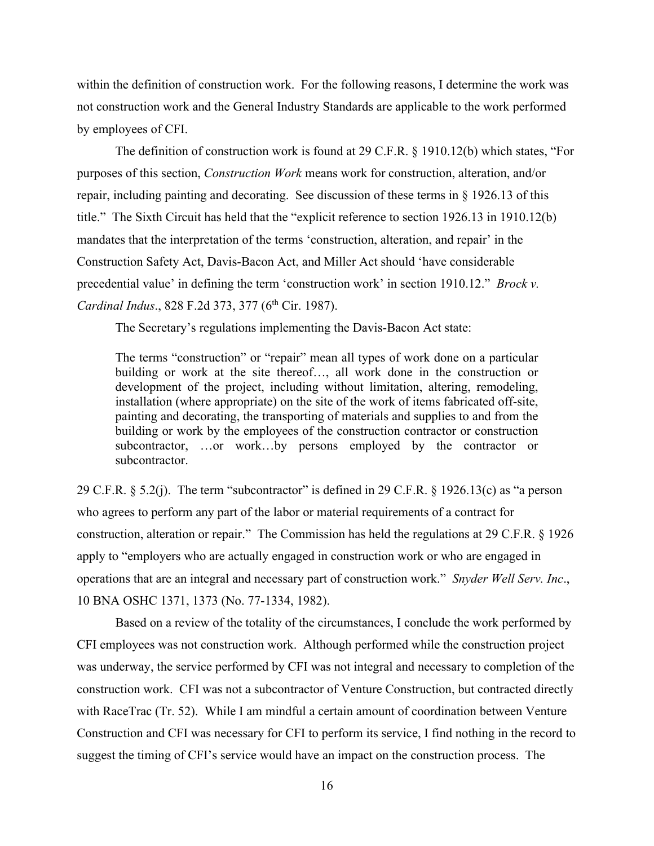within the definition of construction work. For the following reasons, I determine the work was not construction work and the General Industry Standards are applicable to the work performed by employees of CFI.

 The definition of construction work is found at 29 C.F.R. § 1910.12(b) which states, "For purposes of this section, *Construction Work* means work for construction, alteration, and/or repair, including painting and decorating. See discussion of these terms in § 1926.13 of this title." The Sixth Circuit has held that the "explicit reference to section 1926.13 in 1910.12(b) mandates that the interpretation of the terms 'construction, alteration, and repair' in the Construction Safety Act, Davis-Bacon Act, and Miller Act should 'have considerable precedential value' in defining the term 'construction work' in section 1910.12." *Brock v. Cardinal Indus.*, 828 F.2d 373, 377 (6<sup>th</sup> Cir. 1987).

The Secretary's regulations implementing the Davis-Bacon Act state:

The terms "construction" or "repair" mean all types of work done on a particular building or work at the site thereof..., all work done in the construction or development of the project, including without limitation, altering, remodeling, installation (where appropriate) on the site of the work of items fabricated off-site, painting and decorating, the transporting of materials and supplies to and from the building or work by the employees of the construction contractor or construction subcontractor, …or work…by persons employed by the contractor or subcontractor.

29 C.F.R.  $\S$  5.2(j). The term "subcontractor" is defined in 29 C.F.R.  $\S$  1926.13(c) as "a person who agrees to perform any part of the labor or material requirements of a contract for construction, alteration or repair." The Commission has held the regulations at 29 C.F.R. § 1926 apply to "employers who are actually engaged in construction work or who are engaged in operations that are an integral and necessary part of construction work." *Snyder Well Serv. Inc*., 10 BNA OSHC 1371, 1373 (No. 77-1334, 1982).

Based on a review of the totality of the circumstances, I conclude the work performed by CFI employees was not construction work. Although performed while the construction project was underway, the service performed by CFI was not integral and necessary to completion of the construction work. CFI was not a subcontractor of Venture Construction, but contracted directly with RaceTrac (Tr. 52). While I am mindful a certain amount of coordination between Venture Construction and CFI was necessary for CFI to perform its service, I find nothing in the record to suggest the timing of CFI's service would have an impact on the construction process. The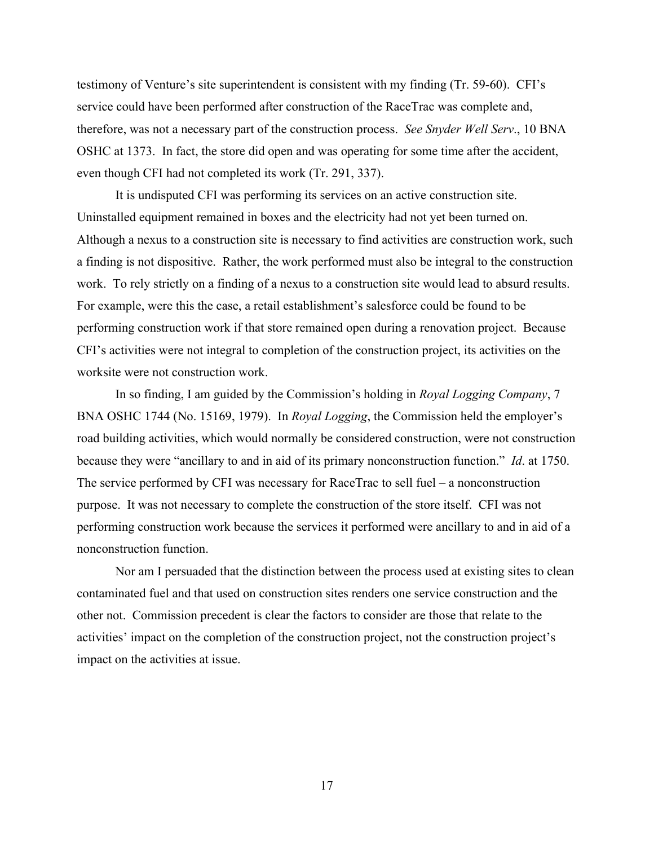testimony of Venture's site superintendent is consistent with my finding (Tr. 59-60). CFI's service could have been performed after construction of the RaceTrac was complete and, therefore, was not a necessary part of the construction process. *See Snyder Well Serv*., 10 BNA OSHC at 1373. In fact, the store did open and was operating for some time after the accident, even though CFI had not completed its work (Tr. 291, 337).

It is undisputed CFI was performing its services on an active construction site. Uninstalled equipment remained in boxes and the electricity had not yet been turned on. Although a nexus to a construction site is necessary to find activities are construction work, such a finding is not dispositive. Rather, the work performed must also be integral to the construction work. To rely strictly on a finding of a nexus to a construction site would lead to absurd results. For example, were this the case, a retail establishment's salesforce could be found to be performing construction work if that store remained open during a renovation project. Because CFI's activities were not integral to completion of the construction project, its activities on the worksite were not construction work.

In so finding, I am guided by the Commission's holding in *Royal Logging Company*, 7 BNA OSHC 1744 (No. 15169, 1979). In *Royal Logging*, the Commission held the employer's road building activities, which would normally be considered construction, were not construction because they were "ancillary to and in aid of its primary nonconstruction function." *Id*. at 1750. The service performed by CFI was necessary for RaceTrac to sell fuel – a nonconstruction purpose. It was not necessary to complete the construction of the store itself. CFI was not performing construction work because the services it performed were ancillary to and in aid of a nonconstruction function.

Nor am I persuaded that the distinction between the process used at existing sites to clean contaminated fuel and that used on construction sites renders one service construction and the other not. Commission precedent is clear the factors to consider are those that relate to the activities' impact on the completion of the construction project, not the construction project's impact on the activities at issue.

17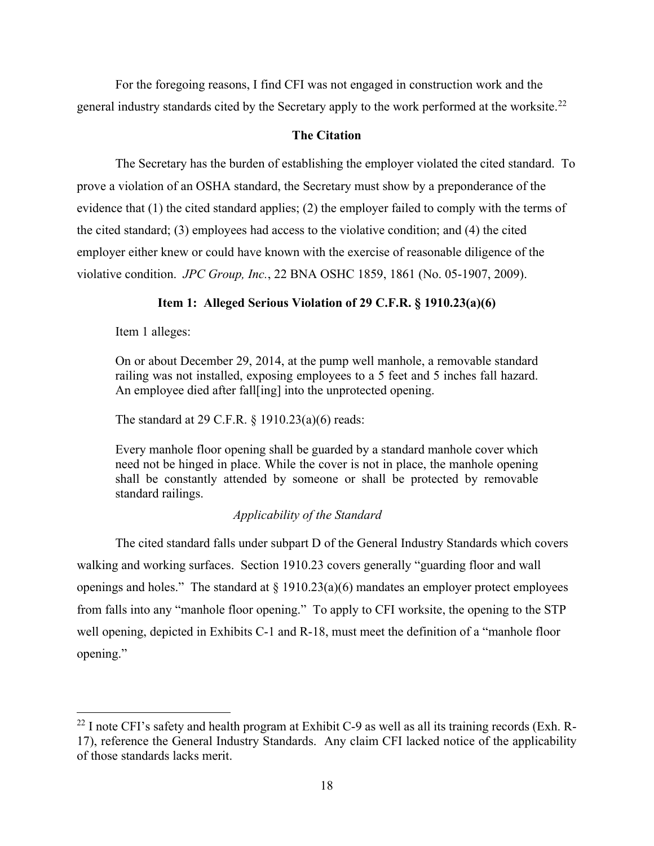For the foregoing reasons, I find CFI was not engaged in construction work and the general industry standards cited by the Secretary apply to the work performed at the worksite.<sup>22</sup>

# **The Citation**

The Secretary has the burden of establishing the employer violated the cited standard. To prove a violation of an OSHA standard, the Secretary must show by a preponderance of the evidence that (1) the cited standard applies; (2) the employer failed to comply with the terms of the cited standard; (3) employees had access to the violative condition; and (4) the cited employer either knew or could have known with the exercise of reasonable diligence of the violative condition. *JPC Group, Inc.*, 22 BNA OSHC 1859, 1861 (No. 05-1907, 2009).

# **Item 1: Alleged Serious Violation of 29 C.F.R. § 1910.23(a)(6)**

Item 1 alleges:

On or about December 29, 2014, at the pump well manhole, a removable standard railing was not installed, exposing employees to a 5 feet and 5 inches fall hazard. An employee died after fall[ing] into the unprotected opening.

The standard at 29 C.F.R. § 1910.23(a)(6) reads:

Every manhole floor opening shall be guarded by a standard manhole cover which need not be hinged in place. While the cover is not in place, the manhole opening shall be constantly attended by someone or shall be protected by removable standard railings.

# *Applicability of the Standard*

The cited standard falls under subpart D of the General Industry Standards which covers walking and working surfaces. Section 1910.23 covers generally "guarding floor and wall openings and holes." The standard at  $\S$  1910.23(a)(6) mandates an employer protect employees from falls into any "manhole floor opening." To apply to CFI worksite, the opening to the STP well opening, depicted in Exhibits C-1 and R-18, must meet the definition of a "manhole floor opening."

<span id="page-17-0"></span> $^{22}$  I note CFI's safety and health program at Exhibit C-9 as well as all its training records (Exh. R-17), reference the General Industry Standards. Any claim CFI lacked notice of the applicability of those standards lacks merit.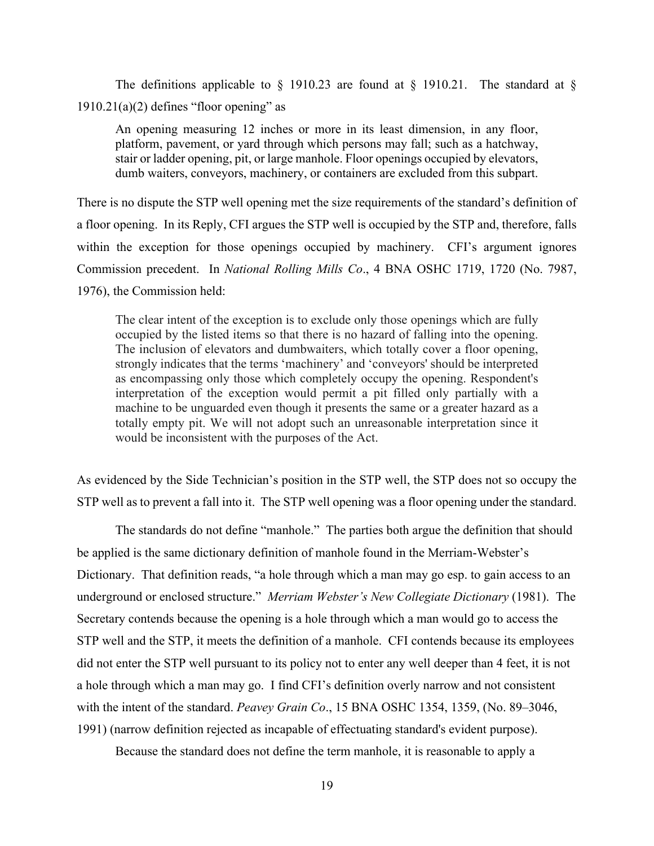The definitions applicable to  $\S$  1910.23 are found at  $\S$  1910.21. The standard at  $\S$  $1910.21(a)(2)$  defines "floor opening" as

An opening measuring 12 inches or more in its least dimension, in any floor, platform, pavement, or yard through which persons may fall; such as a hatchway, stair or ladder opening, pit, or large manhole. Floor openings occupied by elevators, dumb waiters, conveyors, machinery, or containers are excluded from this subpart.

There is no dispute the STP well opening met the size requirements of the standard's definition of a floor opening. In its Reply, CFI argues the STP well is occupied by the STP and, therefore, falls within the exception for those openings occupied by machinery. CFI's argument ignores Commission precedent. In *National Rolling Mills Co*., 4 BNA OSHC 1719, 1720 (No. 7987, 1976), the Commission held:

The clear intent of the exception is to exclude only those openings which are fully occupied by the listed items so that there is no hazard of falling into the opening. The inclusion of elevators and dumbwaiters, which totally cover a floor opening, strongly indicates that the terms 'machinery' and 'conveyors' should be interpreted as encompassing only those which completely occupy the opening. Respondent's interpretation of the exception would permit a pit filled only partially with a machine to be unguarded even though it presents the same or a greater hazard as a totally empty pit. We will not adopt such an unreasonable interpretation since it would be inconsistent with the purposes of the Act.

As evidenced by the Side Technician's position in the STP well, the STP does not so occupy the STP well as to prevent a fall into it. The STP well opening was a floor opening under the standard.

 The standards do not define "manhole." The parties both argue the definition that should be applied is the same dictionary definition of manhole found in the Merriam-Webster's Dictionary. That definition reads, "a hole through which a man may go esp. to gain access to an underground or enclosed structure." *Merriam Webster's New Collegiate Dictionary* (1981). The Secretary contends because the opening is a hole through which a man would go to access the STP well and the STP, it meets the definition of a manhole. CFI contends because its employees did not enter the STP well pursuant to its policy not to enter any well deeper than 4 feet, it is not a hole through which a man may go. I find CFI's definition overly narrow and not consistent with the intent of the standard. *Peavey Grain Co*., 15 BNA OSHC 1354, 1359, (No. 89–3046, 1991) (narrow definition rejected as incapable of effectuating standard's evident purpose).

Because the standard does not define the term manhole, it is reasonable to apply a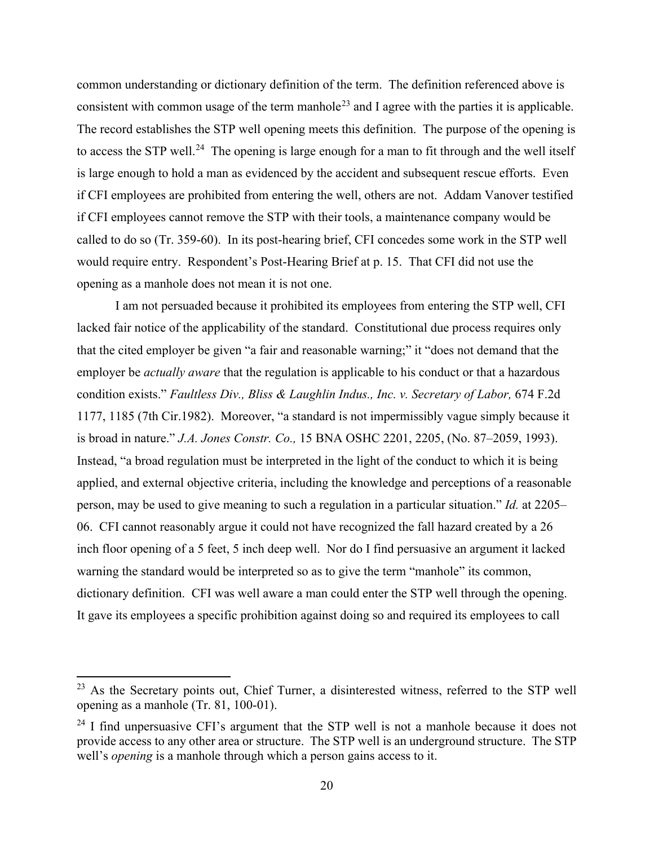common understanding or dictionary definition of the term. The definition referenced above is consistent with common usage of the term manhole<sup>[23](#page-19-0)</sup> and I agree with the parties it is applicable. The record establishes the STP well opening meets this definition. The purpose of the opening is to access the STP well.<sup>24</sup> The opening is large enough for a man to fit through and the well itself is large enough to hold a man as evidenced by the accident and subsequent rescue efforts. Even if CFI employees are prohibited from entering the well, others are not. Addam Vanover testified if CFI employees cannot remove the STP with their tools, a maintenance company would be called to do so (Tr. 359-60). In its post-hearing brief, CFI concedes some work in the STP well would require entry. Respondent's Post-Hearing Brief at p. 15. That CFI did not use the opening as a manhole does not mean it is not one.

 I am not persuaded because it prohibited its employees from entering the STP well, CFI lacked fair notice of the applicability of the standard. Constitutional due process requires only that the cited employer be given "a fair and reasonable warning;" it "does not demand that the employer be *actually aware* that the regulation is applicable to his conduct or that a hazardous condition exists." *Faultless Div., Bliss & Laughlin Indus., Inc. v. Secretary of Labor,* 674 F.2d 1177, 1185 (7th Cir.1982). Moreover, "a standard is not impermissibly vague simply because it is broad in nature." *J.A. Jones Constr. Co.,* 15 BNA OSHC 2201, 2205, (No. 87–2059, 1993). Instead, "a broad regulation must be interpreted in the light of the conduct to which it is being applied, and external objective criteria, including the knowledge and perceptions of a reasonable person, may be used to give meaning to such a regulation in a particular situation." *Id.* at 2205– 06. CFI cannot reasonably argue it could not have recognized the fall hazard created by a 26 inch floor opening of a 5 feet, 5 inch deep well. Nor do I find persuasive an argument it lacked warning the standard would be interpreted so as to give the term "manhole" its common, dictionary definition. CFI was well aware a man could enter the STP well through the opening. It gave its employees a specific prohibition against doing so and required its employees to call

<span id="page-19-0"></span><sup>&</sup>lt;sup>23</sup> As the Secretary points out, Chief Turner, a disinterested witness, referred to the STP well opening as a manhole (Tr. 81, 100-01).

<span id="page-19-1"></span> $24$  I find unpersuasive CFI's argument that the STP well is not a manhole because it does not provide access to any other area or structure. The STP well is an underground structure. The STP well's *opening* is a manhole through which a person gains access to it.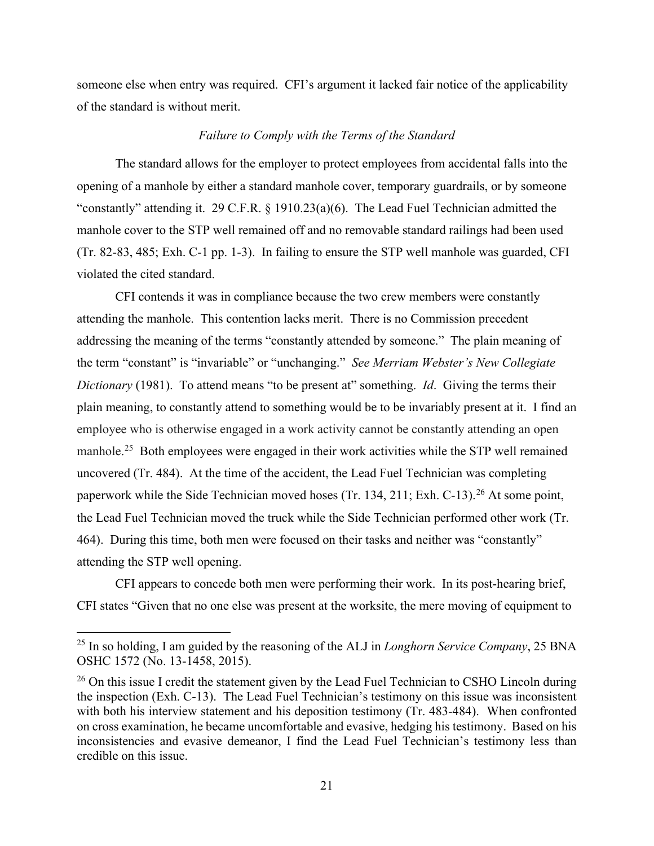someone else when entry was required. CFI's argument it lacked fair notice of the applicability of the standard is without merit.

# *Failure to Comply with the Terms of the Standard*

The standard allows for the employer to protect employees from accidental falls into the opening of a manhole by either a standard manhole cover, temporary guardrails, or by someone "constantly" attending it. 29 C.F.R. § 1910.23(a)(6). The Lead Fuel Technician admitted the manhole cover to the STP well remained off and no removable standard railings had been used (Tr. 82-83, 485; Exh. C-1 pp. 1-3). In failing to ensure the STP well manhole was guarded, CFI violated the cited standard.

CFI contends it was in compliance because the two crew members were constantly attending the manhole. This contention lacks merit. There is no Commission precedent addressing the meaning of the terms "constantly attended by someone." The plain meaning of the term "constant" is "invariable" or "unchanging." *See Merriam Webster's New Collegiate Dictionary* (1981). To attend means "to be present at" something. *Id*. Giving the terms their plain meaning, to constantly attend to something would be to be invariably present at it. I find an employee who is otherwise engaged in a work activity cannot be constantly attending an open manhole.<sup>25</sup> Both employees were engaged in their work activities while the STP well remained uncovered (Tr. 484). At the time of the accident, the Lead Fuel Technician was completing paperwork while the Side Technician moved hoses (Tr. 134, 211; Exh. C-13).<sup>[26](#page-20-1)</sup> At some point, the Lead Fuel Technician moved the truck while the Side Technician performed other work (Tr. 464). During this time, both men were focused on their tasks and neither was "constantly" attending the STP well opening.

CFI appears to concede both men were performing their work. In its post-hearing brief, CFI states "Given that no one else was present at the worksite, the mere moving of equipment to

<span id="page-20-0"></span><sup>25</sup> In so holding, I am guided by the reasoning of the ALJ in *Longhorn Service Company*, 25 BNA OSHC 1572 (No. 13-1458, 2015).

<span id="page-20-1"></span> $26$  On this issue I credit the statement given by the Lead Fuel Technician to CSHO Lincoln during the inspection (Exh. C-13). The Lead Fuel Technician's testimony on this issue was inconsistent with both his interview statement and his deposition testimony (Tr. 483-484). When confronted on cross examination, he became uncomfortable and evasive, hedging his testimony. Based on his inconsistencies and evasive demeanor, I find the Lead Fuel Technician's testimony less than credible on this issue.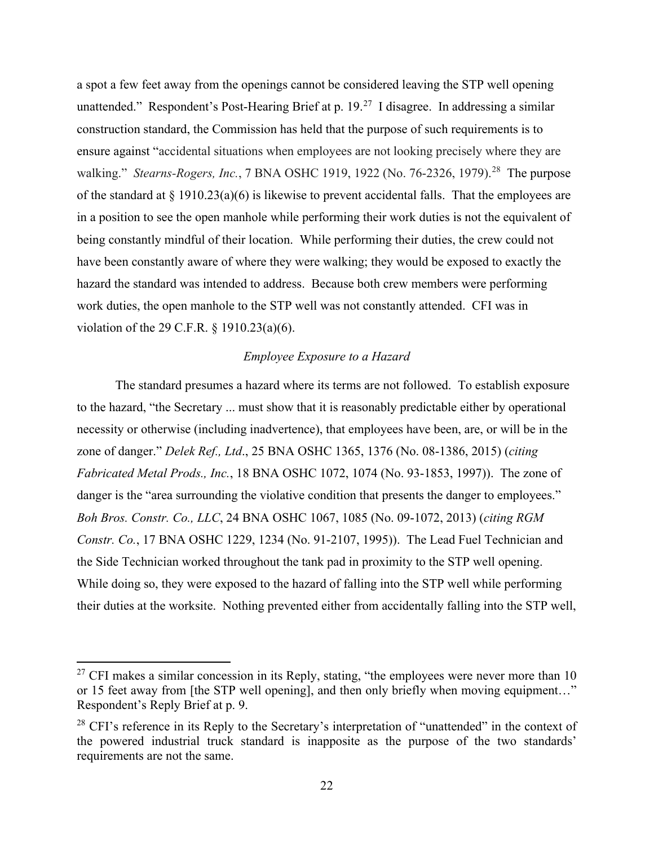a spot a few feet away from the openings cannot be considered leaving the STP well opening unattended." Respondent's Post-Hearing Brief at p.  $19<sup>27</sup>$  $19<sup>27</sup>$  $19<sup>27</sup>$  I disagree. In addressing a similar construction standard, the Commission has held that the purpose of such requirements is to ensure against "accidental situations when employees are not looking precisely where they are walking." *Stearns-Rogers, Inc.*, 7 BNA OSHC 1919, 1922 (No. 76-2326, 1979).<sup>28</sup> The purpose of the standard at  $\S$  1910.23(a)(6) is likewise to prevent accidental falls. That the employees are in a position to see the open manhole while performing their work duties is not the equivalent of being constantly mindful of their location. While performing their duties, the crew could not have been constantly aware of where they were walking; they would be exposed to exactly the hazard the standard was intended to address. Because both crew members were performing work duties, the open manhole to the STP well was not constantly attended. CFI was in violation of the 29 C.F.R. § 1910.23(a)(6).

### *Employee Exposure to a Hazard*

The standard presumes a hazard where its terms are not followed. To establish exposure to the hazard, "the Secretary ... must show that it is reasonably predictable either by operational necessity or otherwise (including inadvertence), that employees have been, are, or will be in the zone of danger." *Delek Ref., Ltd*., 25 BNA OSHC 1365, 1376 (No. 08-1386, 2015) (*citing Fabricated Metal Prods., Inc.*, 18 BNA OSHC 1072, 1074 (No. 93-1853, 1997)). The zone of danger is the "area surrounding the violative condition that presents the danger to employees." *Boh Bros. Constr. Co., LLC*, 24 BNA OSHC 1067, 1085 (No. 09-1072, 2013) (*citing RGM Constr. Co.*, 17 BNA OSHC 1229, 1234 (No. 91-2107, 1995)). The Lead Fuel Technician and the Side Technician worked throughout the tank pad in proximity to the STP well opening. While doing so, they were exposed to the hazard of falling into the STP well while performing their duties at the worksite. Nothing prevented either from accidentally falling into the STP well,

<span id="page-21-0"></span><sup>&</sup>lt;sup>27</sup> CFI makes a similar concession in its Reply, stating, "the employees were never more than 10 or 15 feet away from [the STP well opening], and then only briefly when moving equipment…" Respondent's Reply Brief at p. 9.

<span id="page-21-1"></span> $28$  CFI's reference in its Reply to the Secretary's interpretation of "unattended" in the context of the powered industrial truck standard is inapposite as the purpose of the two standards' requirements are not the same.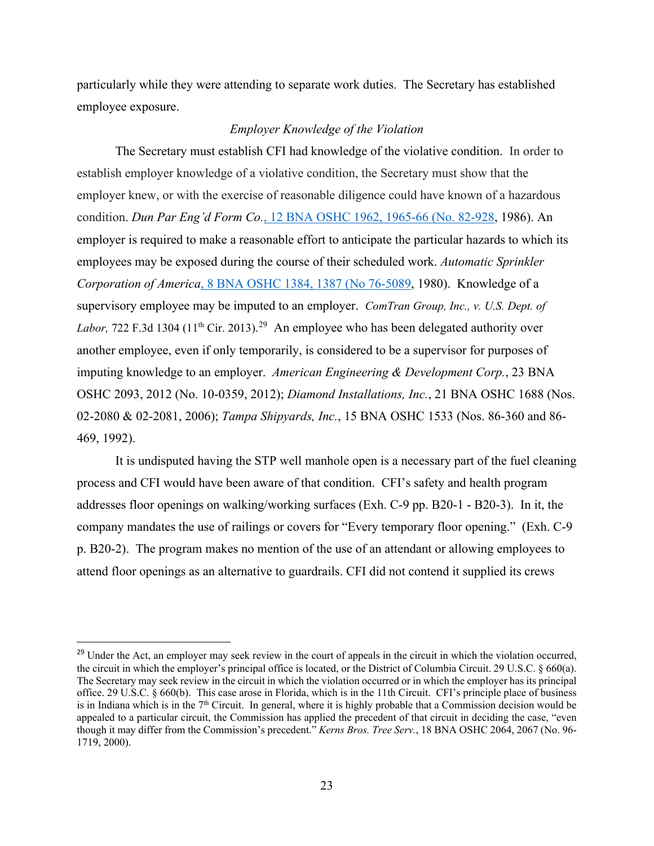particularly while they were attending to separate work duties. The Secretary has established employee exposure.

# *Employer Knowledge of the Violation*

The Secretary must establish CFI had knowledge of the violative condition. In order to establish employer knowledge of a violative condition, the Secretary must show that the employer knew, or with the exercise of reasonable diligence could have known of a hazardous condition. *Dun Par Eng'd Form Co.*[, 12 BNA OSHC 1962, 1965-66 \(No. 82-928,](https://a.next.westlaw.com/Link/Document/FullText?findType=Y&serNum=1986303456&pubNum=0003227&fi=co_pp_sp_3227_1965&originationContext=document&transitionType=DocumentItem&contextData=(sc.Search)#co_pp_sp_3227_1965) 1986). An employer is required to make a reasonable effort to anticipate the particular hazards to which its employees may be exposed during the course of their scheduled work. *[Automatic Sprinkler](https://a.next.westlaw.com/Link/Document/FullText?findType=Y&serNum=1980186065&pubNum=0003227&fi=co_pp_sp_3227_1387&originationContext=document&transitionType=DocumentItem&contextData=(sc.Search)#co_pp_sp_3227_1387)  Corporation of America*[, 8 BNA OSHC 1384, 1387 \(No 76-5089,](https://a.next.westlaw.com/Link/Document/FullText?findType=Y&serNum=1980186065&pubNum=0003227&fi=co_pp_sp_3227_1387&originationContext=document&transitionType=DocumentItem&contextData=(sc.Search)#co_pp_sp_3227_1387) 1980). Knowledge of a supervisory employee may be imputed to an employer. *ComTran Group, Inc., v. U.S. Dept. of*  Labor, 722 F.3d 1304 (11<sup>th</sup> Cir. 2013).<sup>[29](#page-22-0)</sup> An employee who has been delegated authority over another employee, even if only temporarily, is considered to be a supervisor for purposes of imputing knowledge to an employer. *American Engineering & Development Corp.*, 23 BNA OSHC 2093, 2012 (No. 10-0359, 2012); *Diamond Installations, Inc.*, 21 BNA OSHC 1688 (Nos. 02-2080 & 02-2081, 2006); *Tampa Shipyards, Inc.*, 15 BNA OSHC 1533 (Nos. 86-360 and 86- 469, 1992).

It is undisputed having the STP well manhole open is a necessary part of the fuel cleaning process and CFI would have been aware of that condition. CFI's safety and health program addresses floor openings on walking/working surfaces (Exh. C-9 pp. B20-1 - B20-3). In it, the company mandates the use of railings or covers for "Every temporary floor opening." (Exh. C-9 p. B20-2). The program makes no mention of the use of an attendant or allowing employees to attend floor openings as an alternative to guardrails. CFI did not contend it supplied its crews

<span id="page-22-0"></span><sup>&</sup>lt;sup>29</sup> Under the Act, an employer may seek review in the court of appeals in the circuit in which the violation occurred, the circuit in which the employer's principal office is located, or the District of Columbia Circuit. 29 U.S.C. § 660(a). The Secretary may seek review in the circuit in which the violation occurred or in which the employer has its principal office. 29 U.S.C. § 660(b). This case arose in Florida, which is in the 11th Circuit. CFI's principle place of business is in Indiana which is in the 7<sup>th</sup> Circuit. In general, where it is highly probable that a Commission decision would be appealed to a particular circuit, the Commission has applied the precedent of that circuit in deciding the case, "even though it may differ from the Commission's precedent." *Kerns Bros. Tree Serv.*, 18 BNA OSHC 2064, 2067 (No. 96- 1719, 2000).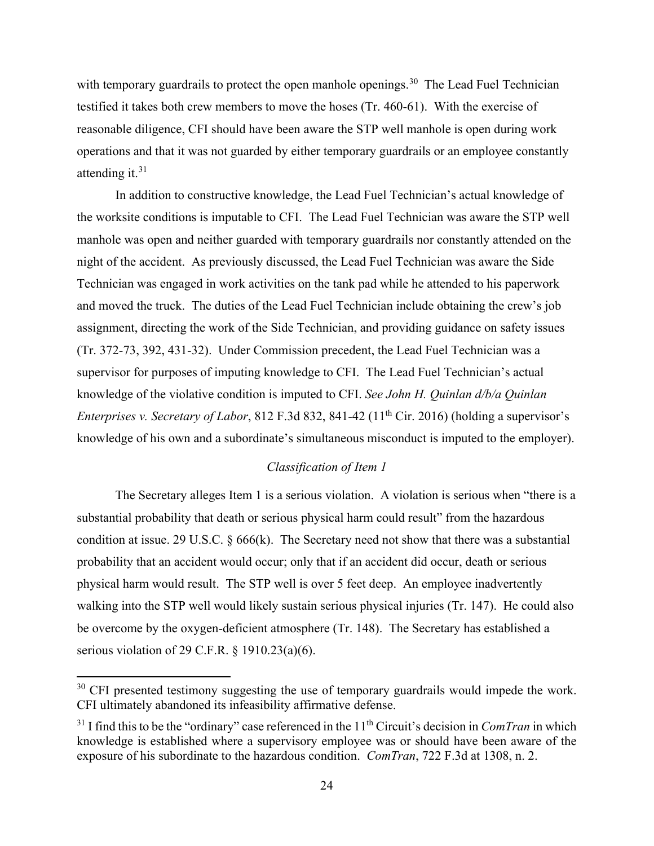with temporary guardrails to protect the open manhole openings.<sup>[30](#page-23-0)</sup> The Lead Fuel Technician testified it takes both crew members to move the hoses (Tr. 460-61). With the exercise of reasonable diligence, CFI should have been aware the STP well manhole is open during work operations and that it was not guarded by either temporary guardrails or an employee constantly attending it. $31$ 

In addition to constructive knowledge, the Lead Fuel Technician's actual knowledge of the worksite conditions is imputable to CFI. The Lead Fuel Technician was aware the STP well manhole was open and neither guarded with temporary guardrails nor constantly attended on the night of the accident. As previously discussed, the Lead Fuel Technician was aware the Side Technician was engaged in work activities on the tank pad while he attended to his paperwork and moved the truck. The duties of the Lead Fuel Technician include obtaining the crew's job assignment, directing the work of the Side Technician, and providing guidance on safety issues (Tr. 372-73, 392, 431-32). Under Commission precedent, the Lead Fuel Technician was a supervisor for purposes of imputing knowledge to CFI. The Lead Fuel Technician's actual knowledge of the violative condition is imputed to CFI. *See John H. Quinlan d/b/a Quinlan Enterprises v. Secretary of Labor*, 812 F.3d 832, 841-42 (11<sup>th</sup> Cir. 2016) (holding a supervisor's knowledge of his own and a subordinate's simultaneous misconduct is imputed to the employer).

# *Classification of Item 1*

The Secretary alleges Item 1 is a serious violation. A violation is serious when "there is a substantial probability that death or serious physical harm could result" from the hazardous condition at issue. 29 U.S.C.  $\S 666(k)$ . The Secretary need not show that there was a substantial probability that an accident would occur; only that if an accident did occur, death or serious physical harm would result. The STP well is over 5 feet deep. An employee inadvertently walking into the STP well would likely sustain serious physical injuries (Tr. 147). He could also be overcome by the oxygen-deficient atmosphere (Tr. 148). The Secretary has established a serious violation of 29 C.F.R. § 1910.23(a)(6).

<span id="page-23-0"></span> $30$  CFI presented testimony suggesting the use of temporary guardrails would impede the work. CFI ultimately abandoned its infeasibility affirmative defense.

<span id="page-23-1"></span> $31$  I find this to be the "ordinary" case referenced in the  $11<sup>th</sup>$  Circuit's decision in *ComTran* in which knowledge is established where a supervisory employee was or should have been aware of the exposure of his subordinate to the hazardous condition. *ComTran*, 722 F.3d at 1308, n. 2.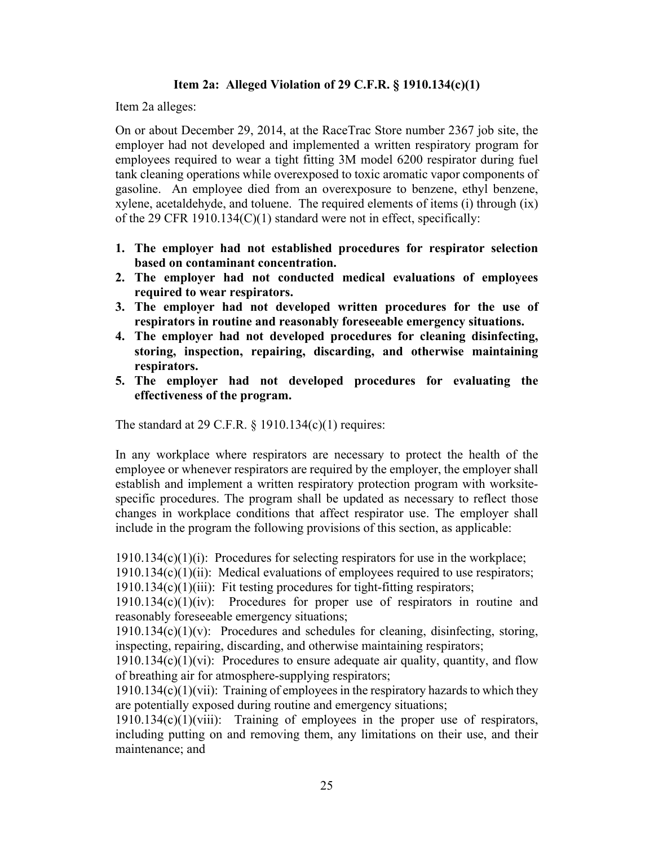# **Item 2a: Alleged Violation of 29 C.F.R. § 1910.134(c)(1)**

Item 2a alleges:

On or about December 29, 2014, at the RaceTrac Store number 2367 job site, the employer had not developed and implemented a written respiratory program for employees required to wear a tight fitting 3M model 6200 respirator during fuel tank cleaning operations while overexposed to toxic aromatic vapor components of gasoline. An employee died from an overexposure to benzene, ethyl benzene, xylene, acetaldehyde, and toluene. The required elements of items (i) through (ix) of the 29 CFR 1910.134(C)(1) standard were not in effect, specifically:

- **1. The employer had not established procedures for respirator selection based on contaminant concentration.**
- **2. The employer had not conducted medical evaluations of employees required to wear respirators.**
- **3. The employer had not developed written procedures for the use of respirators in routine and reasonably foreseeable emergency situations.**
- **4. The employer had not developed procedures for cleaning disinfecting, storing, inspection, repairing, discarding, and otherwise maintaining respirators.**
- **5. The employer had not developed procedures for evaluating the effectiveness of the program.**

The standard at 29 C.F.R.  $\S$  1910.134(c)(1) requires:

In any workplace where respirators are necessary to protect the health of the employee or whenever respirators are required by the employer, the employer shall establish and implement a written respiratory protection program with worksitespecific procedures. The program shall be updated as necessary to reflect those changes in workplace conditions that affect respirator use. The employer shall include in the program the following provisions of this section, as applicable:

 $1910.134(c)(1)(i)$ : Procedures for selecting respirators for use in the workplace;

 $1910.134(c)(1)(ii)$ : Medical evaluations of employees required to use respirators;

 $1910.134(c)(1)(iii)$ : Fit testing procedures for tight-fitting respirators;

 $1910.134(c)(1)(iv)$ : Procedures for proper use of respirators in routine and reasonably foreseeable emergency situations;

 $1910.134(c)(1)(v)$ : Procedures and schedules for cleaning, disinfecting, storing, inspecting, repairing, discarding, and otherwise maintaining respirators;

 $1910.134(c)(1)(vi)$ : Procedures to ensure adequate air quality, quantity, and flow of breathing air for atmosphere-supplying respirators;

1910.134(c)(1)(vii): Training of employees in the respiratory hazards to which they are potentially exposed during routine and emergency situations;

1910.134(c)(1)(viii): Training of employees in the proper use of respirators, including putting on and removing them, any limitations on their use, and their maintenance; and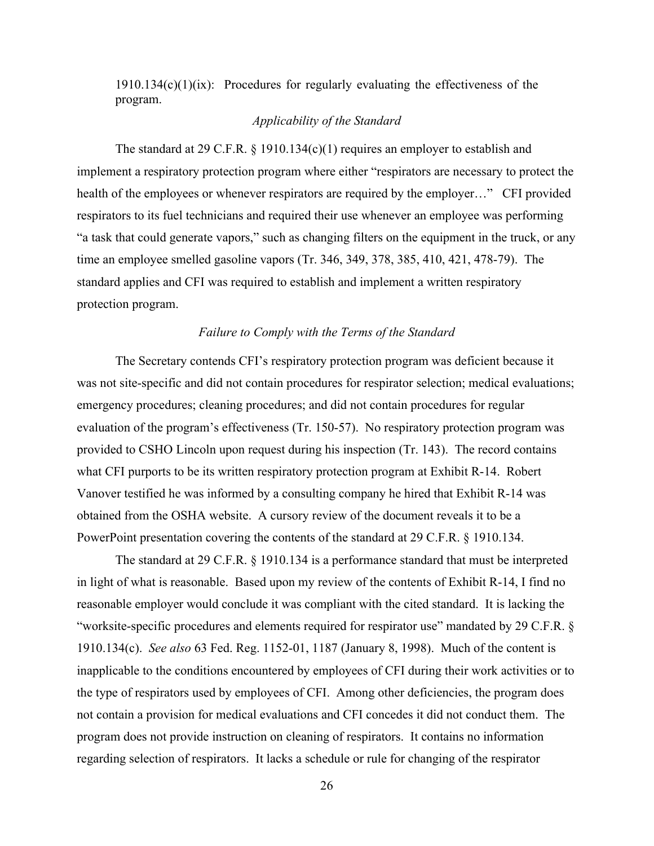$1910.134(c)(1)(ix)$ : Procedures for regularly evaluating the effectiveness of the program.

# *Applicability of the Standard*

The standard at 29 C.F.R.  $\S$  1910.134(c)(1) requires an employer to establish and implement a respiratory protection program where either "respirators are necessary to protect the health of the employees or whenever respirators are required by the employer..." CFI provided respirators to its fuel technicians and required their use whenever an employee was performing "a task that could generate vapors," such as changing filters on the equipment in the truck, or any time an employee smelled gasoline vapors (Tr. 346, 349, 378, 385, 410, 421, 478-79). The standard applies and CFI was required to establish and implement a written respiratory protection program.

#### *Failure to Comply with the Terms of the Standard*

The Secretary contends CFI's respiratory protection program was deficient because it was not site-specific and did not contain procedures for respirator selection; medical evaluations; emergency procedures; cleaning procedures; and did not contain procedures for regular evaluation of the program's effectiveness (Tr. 150-57). No respiratory protection program was provided to CSHO Lincoln upon request during his inspection (Tr. 143). The record contains what CFI purports to be its written respiratory protection program at Exhibit R-14. Robert Vanover testified he was informed by a consulting company he hired that Exhibit R-14 was obtained from the OSHA website. A cursory review of the document reveals it to be a PowerPoint presentation covering the contents of the standard at 29 C.F.R. § 1910.134.

 The standard at 29 C.F.R. § 1910.134 is a performance standard that must be interpreted in light of what is reasonable. Based upon my review of the contents of Exhibit R-14, I find no reasonable employer would conclude it was compliant with the cited standard. It is lacking the "worksite-specific procedures and elements required for respirator use" mandated by 29 C.F.R. § 1910.134(c). *See also* 63 Fed. Reg. 1152-01, 1187 (January 8, 1998). Much of the content is inapplicable to the conditions encountered by employees of CFI during their work activities or to the type of respirators used by employees of CFI. Among other deficiencies, the program does not contain a provision for medical evaluations and CFI concedes it did not conduct them. The program does not provide instruction on cleaning of respirators. It contains no information regarding selection of respirators. It lacks a schedule or rule for changing of the respirator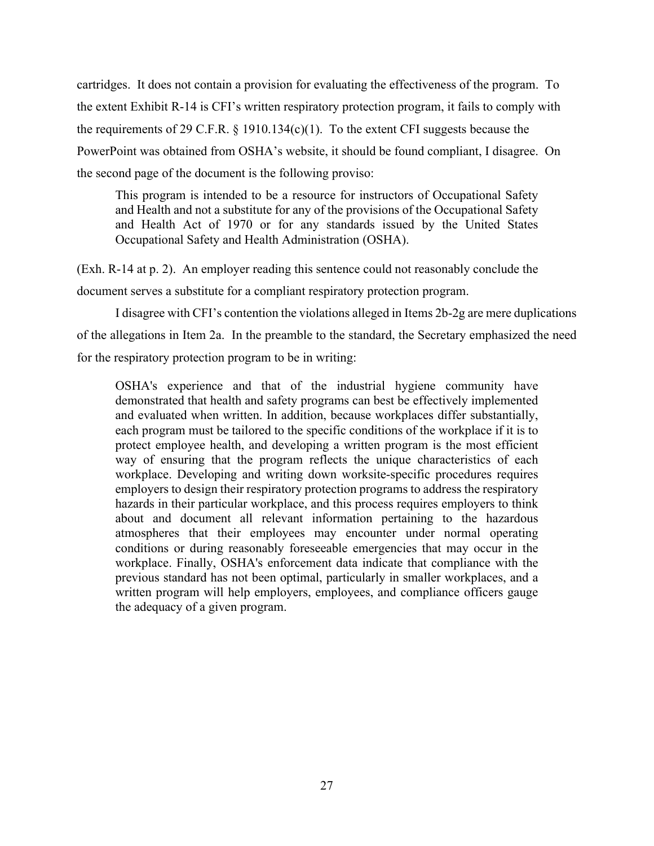cartridges. It does not contain a provision for evaluating the effectiveness of the program. To the extent Exhibit R-14 is CFI's written respiratory protection program, it fails to comply with the requirements of 29 C.F.R.  $\S$  1910.134(c)(1). To the extent CFI suggests because the PowerPoint was obtained from OSHA's website, it should be found compliant, I disagree. On the second page of the document is the following proviso:

This program is intended to be a resource for instructors of Occupational Safety and Health and not a substitute for any of the provisions of the Occupational Safety and Health Act of 1970 or for any standards issued by the United States Occupational Safety and Health Administration (OSHA).

(Exh. R-14 at p. 2). An employer reading this sentence could not reasonably conclude the document serves a substitute for a compliant respiratory protection program.

I disagree with CFI's contention the violations alleged in Items 2b-2g are mere duplications of the allegations in Item 2a. In the preamble to the standard, the Secretary emphasized the need for the respiratory protection program to be in writing:

OSHA's experience and that of the industrial hygiene community have demonstrated that health and safety programs can best be effectively implemented and evaluated when written. In addition, because workplaces differ substantially, each program must be tailored to the specific conditions of the workplace if it is to protect employee health, and developing a written program is the most efficient way of ensuring that the program reflects the unique characteristics of each workplace. Developing and writing down worksite-specific procedures requires employers to design their respiratory protection programs to address the respiratory hazards in their particular workplace, and this process requires employers to think about and document all relevant information pertaining to the hazardous atmospheres that their employees may encounter under normal operating conditions or during reasonably foreseeable emergencies that may occur in the workplace. Finally, OSHA's enforcement data indicate that compliance with the previous standard has not been optimal, particularly in smaller workplaces, and a written program will help employers, employees, and compliance officers gauge the adequacy of a given program.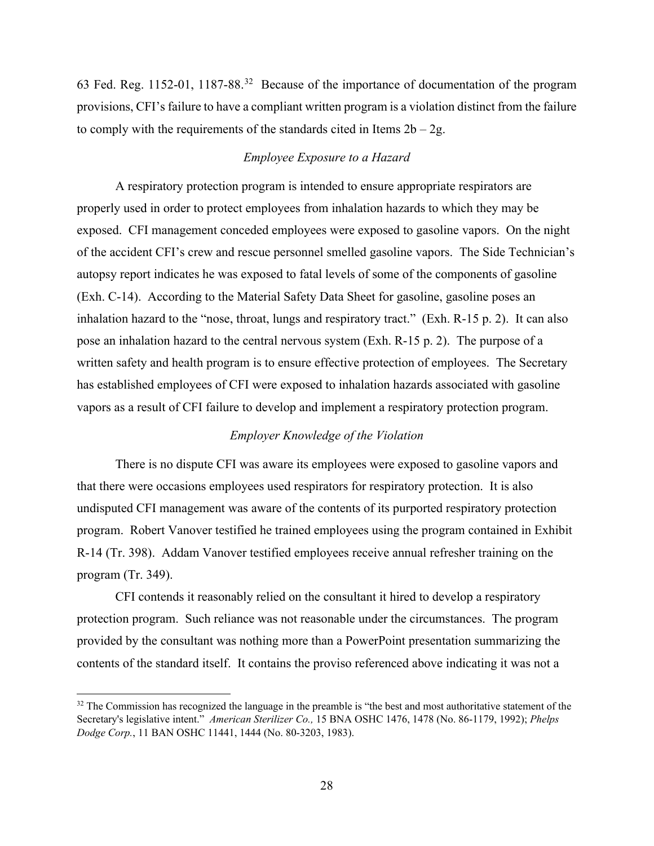63 Fed. Reg. 1152-01, 1187-88.[32](#page-27-0) Because of the importance of documentation of the program provisions, CFI's failure to have a compliant written program is a violation distinct from the failure to comply with the requirements of the standards cited in Items  $2b - 2g$ .

# *Employee Exposure to a Hazard*

A respiratory protection program is intended to ensure appropriate respirators are properly used in order to protect employees from inhalation hazards to which they may be exposed. CFI management conceded employees were exposed to gasoline vapors. On the night of the accident CFI's crew and rescue personnel smelled gasoline vapors. The Side Technician's autopsy report indicates he was exposed to fatal levels of some of the components of gasoline (Exh. C-14). According to the Material Safety Data Sheet for gasoline, gasoline poses an inhalation hazard to the "nose, throat, lungs and respiratory tract." (Exh. R-15 p. 2). It can also pose an inhalation hazard to the central nervous system (Exh. R-15 p. 2). The purpose of a written safety and health program is to ensure effective protection of employees. The Secretary has established employees of CFI were exposed to inhalation hazards associated with gasoline vapors as a result of CFI failure to develop and implement a respiratory protection program.

# *Employer Knowledge of the Violation*

 There is no dispute CFI was aware its employees were exposed to gasoline vapors and that there were occasions employees used respirators for respiratory protection. It is also undisputed CFI management was aware of the contents of its purported respiratory protection program. Robert Vanover testified he trained employees using the program contained in Exhibit R-14 (Tr. 398). Addam Vanover testified employees receive annual refresher training on the program (Tr. 349).

CFI contends it reasonably relied on the consultant it hired to develop a respiratory protection program. Such reliance was not reasonable under the circumstances. The program provided by the consultant was nothing more than a PowerPoint presentation summarizing the contents of the standard itself. It contains the proviso referenced above indicating it was not a

<span id="page-27-0"></span> $32$  The Commission has recognized the language in the preamble is "the best and most authoritative statement of the Secretary's legislative intent." *American Sterilizer Co.,* 15 BNA OSHC 1476, 1478 (No. 86-1179, 1992); *Phelps Dodge Corp.*, 11 BAN OSHC 11441, 1444 (No. 80-3203, 1983).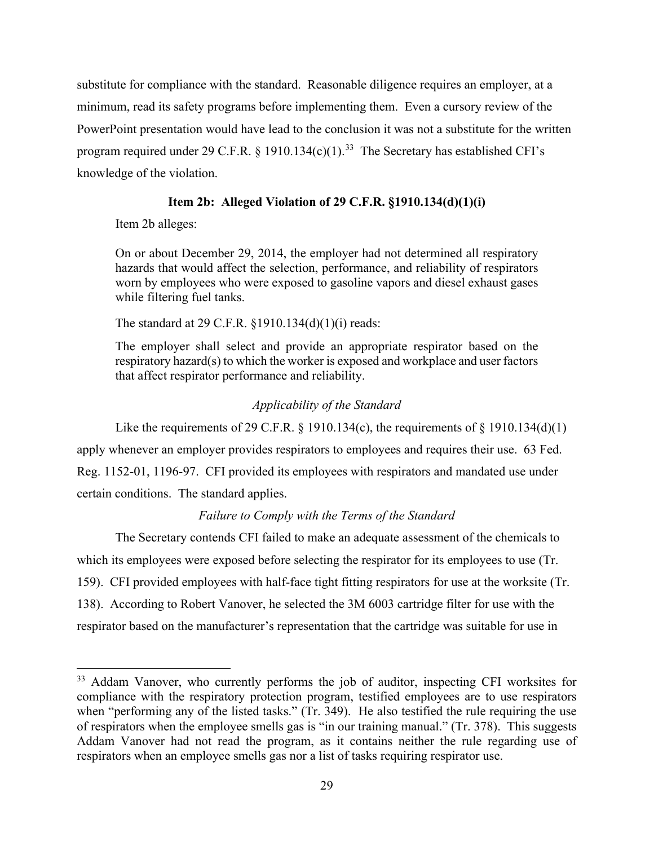substitute for compliance with the standard. Reasonable diligence requires an employer, at a minimum, read its safety programs before implementing them. Even a cursory review of the PowerPoint presentation would have lead to the conclusion it was not a substitute for the written program required under 29 C.F.R. § 1910.134(c)(1).<sup>33</sup> The Secretary has established CFI's knowledge of the violation.

# **Item 2b: Alleged Violation of 29 C.F.R. §1910.134(d)(1)(i)**

Item 2b alleges:

On or about December 29, 2014, the employer had not determined all respiratory hazards that would affect the selection, performance, and reliability of respirators worn by employees who were exposed to gasoline vapors and diesel exhaust gases while filtering fuel tanks.

The standard at 29 C.F.R. §1910.134(d)(1)(i) reads:

The employer shall select and provide an appropriate respirator based on the respiratory hazard(s) to which the worker is exposed and workplace and user factors that affect respirator performance and reliability.

# *Applicability of the Standard*

Like the requirements of 29 C.F.R. § 1910.134(c), the requirements of § 1910.134(d)(1) apply whenever an employer provides respirators to employees and requires their use. 63 Fed. Reg. 1152-01, 1196-97. CFI provided its employees with respirators and mandated use under certain conditions. The standard applies.

# *Failure to Comply with the Terms of the Standard*

The Secretary contends CFI failed to make an adequate assessment of the chemicals to which its employees were exposed before selecting the respirator for its employees to use (Tr. 159). CFI provided employees with half-face tight fitting respirators for use at the worksite (Tr. 138). According to Robert Vanover, he selected the 3M 6003 cartridge filter for use with the respirator based on the manufacturer's representation that the cartridge was suitable for use in

<span id="page-28-0"></span><sup>&</sup>lt;sup>33</sup> Addam Vanover, who currently performs the job of auditor, inspecting CFI worksites for compliance with the respiratory protection program, testified employees are to use respirators when "performing any of the listed tasks." (Tr. 349). He also testified the rule requiring the use of respirators when the employee smells gas is "in our training manual." (Tr. 378). This suggests Addam Vanover had not read the program, as it contains neither the rule regarding use of respirators when an employee smells gas nor a list of tasks requiring respirator use.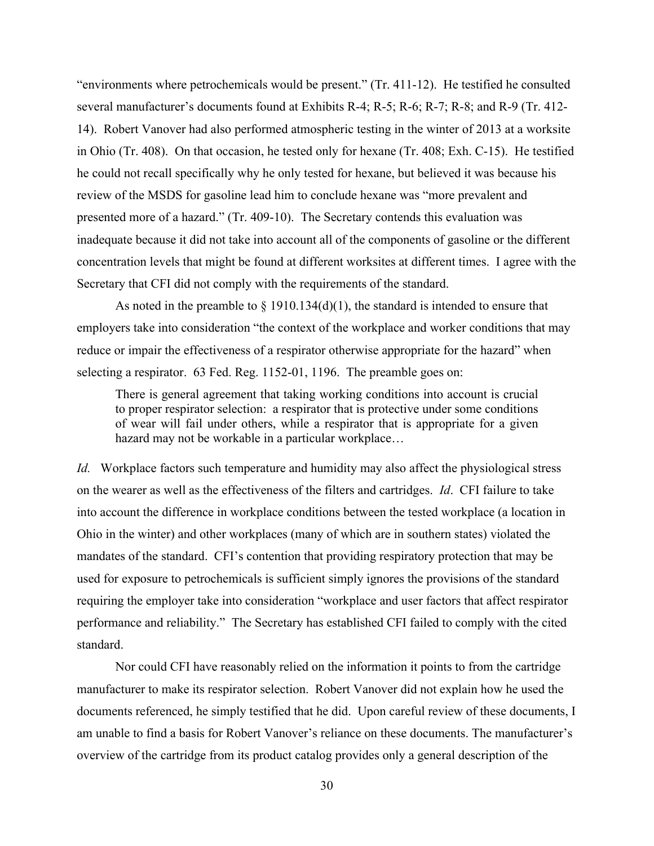"environments where petrochemicals would be present." (Tr. 411-12). He testified he consulted several manufacturer's documents found at Exhibits R-4; R-5; R-6; R-7; R-8; and R-9 (Tr. 412- 14). Robert Vanover had also performed atmospheric testing in the winter of 2013 at a worksite in Ohio (Tr. 408). On that occasion, he tested only for hexane (Tr. 408; Exh. C-15). He testified he could not recall specifically why he only tested for hexane, but believed it was because his review of the MSDS for gasoline lead him to conclude hexane was "more prevalent and presented more of a hazard." (Tr. 409-10). The Secretary contends this evaluation was inadequate because it did not take into account all of the components of gasoline or the different concentration levels that might be found at different worksites at different times. I agree with the Secretary that CFI did not comply with the requirements of the standard.

As noted in the preamble to  $\S$  1910.134(d)(1), the standard is intended to ensure that employers take into consideration "the context of the workplace and worker conditions that may reduce or impair the effectiveness of a respirator otherwise appropriate for the hazard" when selecting a respirator. 63 Fed. Reg. 1152-01, 1196. The preamble goes on:

There is general agreement that taking working conditions into account is crucial to proper respirator selection: a respirator that is protective under some conditions of wear will fail under others, while a respirator that is appropriate for a given hazard may not be workable in a particular workplace…

*Id.* Workplace factors such temperature and humidity may also affect the physiological stress on the wearer as well as the effectiveness of the filters and cartridges. *Id*. CFI failure to take into account the difference in workplace conditions between the tested workplace (a location in Ohio in the winter) and other workplaces (many of which are in southern states) violated the mandates of the standard. CFI's contention that providing respiratory protection that may be used for exposure to petrochemicals is sufficient simply ignores the provisions of the standard requiring the employer take into consideration "workplace and user factors that affect respirator performance and reliability." The Secretary has established CFI failed to comply with the cited standard.

 Nor could CFI have reasonably relied on the information it points to from the cartridge manufacturer to make its respirator selection. Robert Vanover did not explain how he used the documents referenced, he simply testified that he did. Upon careful review of these documents, I am unable to find a basis for Robert Vanover's reliance on these documents. The manufacturer's overview of the cartridge from its product catalog provides only a general description of the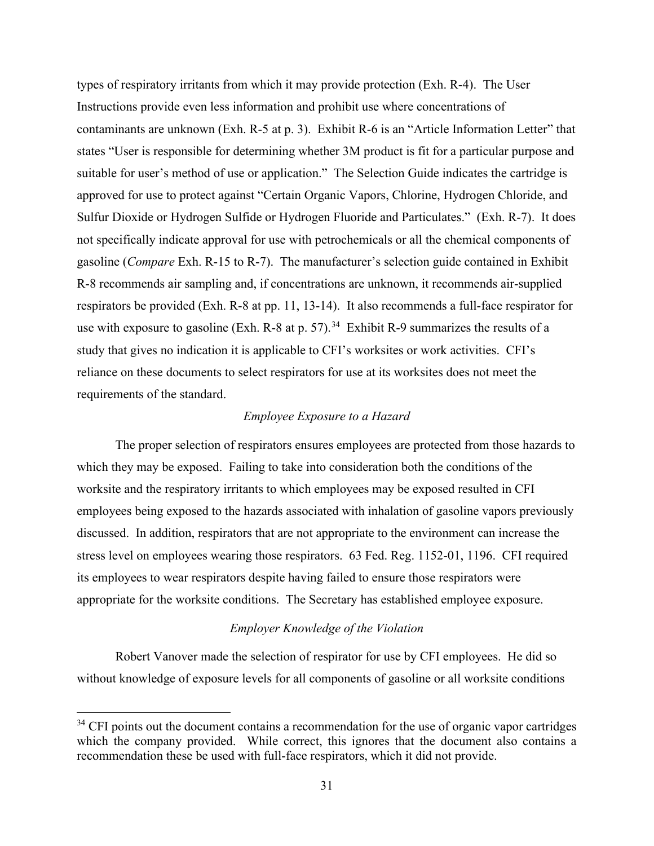types of respiratory irritants from which it may provide protection (Exh. R-4). The User Instructions provide even less information and prohibit use where concentrations of contaminants are unknown (Exh. R-5 at p. 3). Exhibit R-6 is an "Article Information Letter" that states "User is responsible for determining whether 3M product is fit for a particular purpose and suitable for user's method of use or application." The Selection Guide indicates the cartridge is approved for use to protect against "Certain Organic Vapors, Chlorine, Hydrogen Chloride, and Sulfur Dioxide or Hydrogen Sulfide or Hydrogen Fluoride and Particulates." (Exh. R-7). It does not specifically indicate approval for use with petrochemicals or all the chemical components of gasoline (*Compare* Exh. R-15 to R-7). The manufacturer's selection guide contained in Exhibit R-8 recommends air sampling and, if concentrations are unknown, it recommends air-supplied respirators be provided (Exh. R-8 at pp. 11, 13-14). It also recommends a full-face respirator for use with exposure to gasoline (Exh. R-8 at p. 57).<sup>34</sup> Exhibit R-9 summarizes the results of a study that gives no indication it is applicable to CFI's worksites or work activities. CFI's reliance on these documents to select respirators for use at its worksites does not meet the requirements of the standard.

# *Employee Exposure to a Hazard*

The proper selection of respirators ensures employees are protected from those hazards to which they may be exposed. Failing to take into consideration both the conditions of the worksite and the respiratory irritants to which employees may be exposed resulted in CFI employees being exposed to the hazards associated with inhalation of gasoline vapors previously discussed. In addition, respirators that are not appropriate to the environment can increase the stress level on employees wearing those respirators. 63 Fed. Reg. 1152-01, 1196. CFI required its employees to wear respirators despite having failed to ensure those respirators were appropriate for the worksite conditions. The Secretary has established employee exposure.

# *Employer Knowledge of the Violation*

 Robert Vanover made the selection of respirator for use by CFI employees. He did so without knowledge of exposure levels for all components of gasoline or all worksite conditions

<span id="page-30-0"></span> $34$  CFI points out the document contains a recommendation for the use of organic vapor cartridges which the company provided. While correct, this ignores that the document also contains a recommendation these be used with full-face respirators, which it did not provide.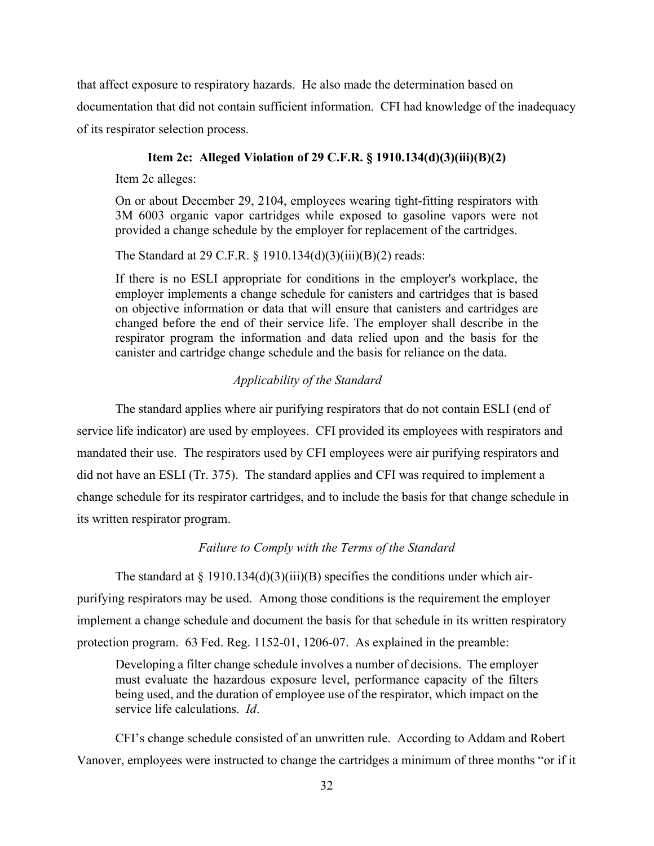that affect exposure to respiratory hazards. He also made the determination based on documentation that did not contain sufficient information. CFI had knowledge of the inadequacy of its respirator selection process.

# **Item 2c: Alleged Violation of 29 C.F.R. § 1910.134(d)(3)(iii)(B)(2)**

Item 2c alleges:

On or about December 29, 2104, employees wearing tight-fitting respirators with 3M 6003 organic vapor cartridges while exposed to gasoline vapors were not provided a change schedule by the employer for replacement of the cartridges.

The Standard at 29 C.F.R. § 1910.134(d)(3)(iii)(B)(2) reads:

If there is no ESLI appropriate for conditions in the employer's workplace, the employer implements a change schedule for canisters and cartridges that is based on objective information or data that will ensure that canisters and cartridges are changed before the end of their service life. The employer shall describe in the respirator program the information and data relied upon and the basis for the canister and cartridge change schedule and the basis for reliance on the data.

# *Applicability of the Standard*

 The standard applies where air purifying respirators that do not contain ESLI (end of service life indicator) are used by employees. CFI provided its employees with respirators and mandated their use. The respirators used by CFI employees were air purifying respirators and did not have an ESLI (Tr. 375). The standard applies and CFI was required to implement a change schedule for its respirator cartridges, and to include the basis for that change schedule in its written respirator program.

#### *Failure to Comply with the Terms of the Standard*

The standard at  $\S 1910.134(d)(3)(iii)(B)$  specifies the conditions under which airpurifying respirators may be used. Among those conditions is the requirement the employer implement a change schedule and document the basis for that schedule in its written respiratory protection program. 63 Fed. Reg. 1152-01, 1206-07. As explained in the preamble:

Developing a filter change schedule involves a number of decisions. The employer must evaluate the hazardous exposure level, performance capacity of the filters being used, and the duration of employee use of the respirator, which impact on the service life calculations. *Id*.

CFI's change schedule consisted of an unwritten rule. According to Addam and Robert Vanover, employees were instructed to change the cartridges a minimum of three months "or if it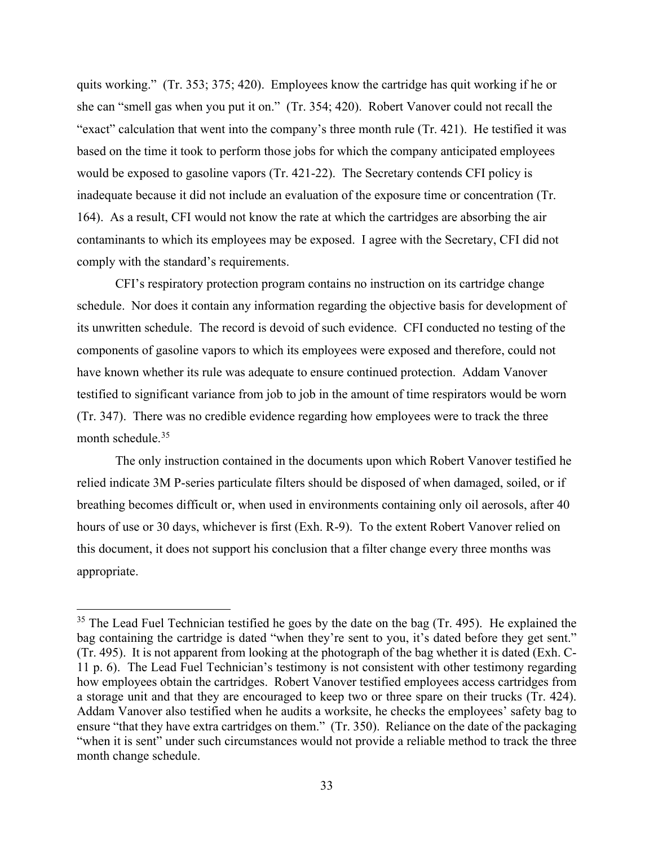quits working." (Tr. 353; 375; 420). Employees know the cartridge has quit working if he or she can "smell gas when you put it on." (Tr. 354; 420). Robert Vanover could not recall the "exact" calculation that went into the company's three month rule (Tr. 421). He testified it was based on the time it took to perform those jobs for which the company anticipated employees would be exposed to gasoline vapors (Tr. 421-22). The Secretary contends CFI policy is inadequate because it did not include an evaluation of the exposure time or concentration (Tr. 164). As a result, CFI would not know the rate at which the cartridges are absorbing the air contaminants to which its employees may be exposed. I agree with the Secretary, CFI did not comply with the standard's requirements.

CFI's respiratory protection program contains no instruction on its cartridge change schedule. Nor does it contain any information regarding the objective basis for development of its unwritten schedule. The record is devoid of such evidence. CFI conducted no testing of the components of gasoline vapors to which its employees were exposed and therefore, could not have known whether its rule was adequate to ensure continued protection. Addam Vanover testified to significant variance from job to job in the amount of time respirators would be worn (Tr. 347). There was no credible evidence regarding how employees were to track the three month schedule.<sup>[35](#page-32-0)</sup>

 The only instruction contained in the documents upon which Robert Vanover testified he relied indicate 3M P-series particulate filters should be disposed of when damaged, soiled, or if breathing becomes difficult or, when used in environments containing only oil aerosols, after 40 hours of use or 30 days, whichever is first (Exh. R-9). To the extent Robert Vanover relied on this document, it does not support his conclusion that a filter change every three months was appropriate.

<span id="page-32-0"></span><sup>&</sup>lt;sup>35</sup> The Lead Fuel Technician testified he goes by the date on the bag (Tr. 495). He explained the bag containing the cartridge is dated "when they're sent to you, it's dated before they get sent." (Tr. 495). It is not apparent from looking at the photograph of the bag whether it is dated (Exh. C-11 p. 6). The Lead Fuel Technician's testimony is not consistent with other testimony regarding how employees obtain the cartridges. Robert Vanover testified employees access cartridges from a storage unit and that they are encouraged to keep two or three spare on their trucks (Tr. 424). Addam Vanover also testified when he audits a worksite, he checks the employees' safety bag to ensure "that they have extra cartridges on them." (Tr. 350). Reliance on the date of the packaging "when it is sent" under such circumstances would not provide a reliable method to track the three month change schedule.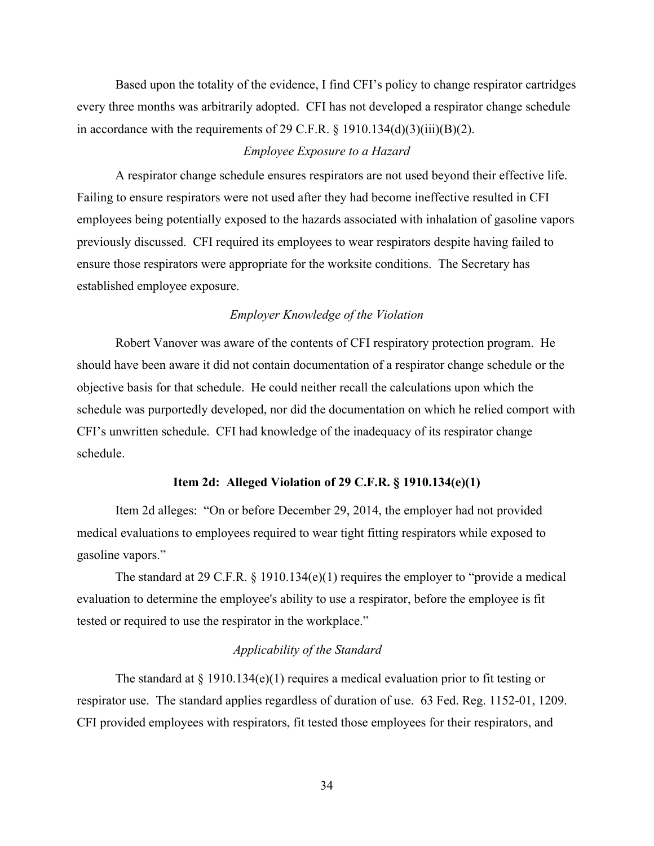Based upon the totality of the evidence, I find CFI's policy to change respirator cartridges every three months was arbitrarily adopted. CFI has not developed a respirator change schedule in accordance with the requirements of 29 C.F.R.  $\S$  1910.134(d)(3)(iii)(B)(2).

#### *Employee Exposure to a Hazard*

A respirator change schedule ensures respirators are not used beyond their effective life. Failing to ensure respirators were not used after they had become ineffective resulted in CFI employees being potentially exposed to the hazards associated with inhalation of gasoline vapors previously discussed. CFI required its employees to wear respirators despite having failed to ensure those respirators were appropriate for the worksite conditions. The Secretary has established employee exposure.

# *Employer Knowledge of the Violation*

 Robert Vanover was aware of the contents of CFI respiratory protection program. He should have been aware it did not contain documentation of a respirator change schedule or the objective basis for that schedule. He could neither recall the calculations upon which the schedule was purportedly developed, nor did the documentation on which he relied comport with CFI's unwritten schedule. CFI had knowledge of the inadequacy of its respirator change schedule.

# **Item 2d: Alleged Violation of 29 C.F.R. § 1910.134(e)(1)**

Item 2d alleges: "On or before December 29, 2014, the employer had not provided medical evaluations to employees required to wear tight fitting respirators while exposed to gasoline vapors."

 The standard at 29 C.F.R. § 1910.134(e)(1) requires the employer to "provide a medical evaluation to determine the employee's ability to use a respirator, before the employee is fit tested or required to use the respirator in the workplace."

# *Applicability of the Standard*

The standard at  $\S$  1910.134(e)(1) requires a medical evaluation prior to fit testing or respirator use. The standard applies regardless of duration of use. 63 Fed. Reg. 1152-01, 1209. CFI provided employees with respirators, fit tested those employees for their respirators, and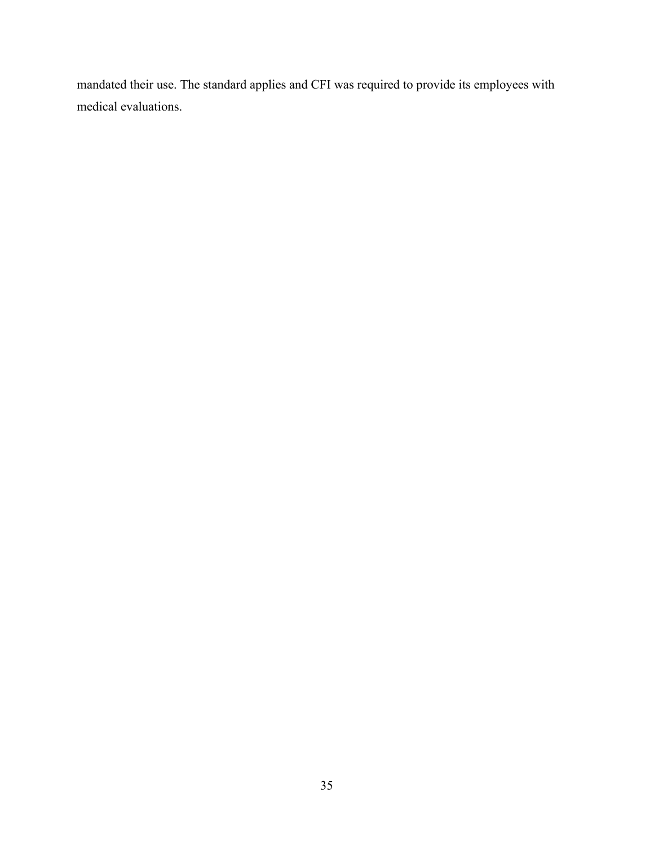mandated their use. The standard applies and CFI was required to provide its employees with medical evaluations.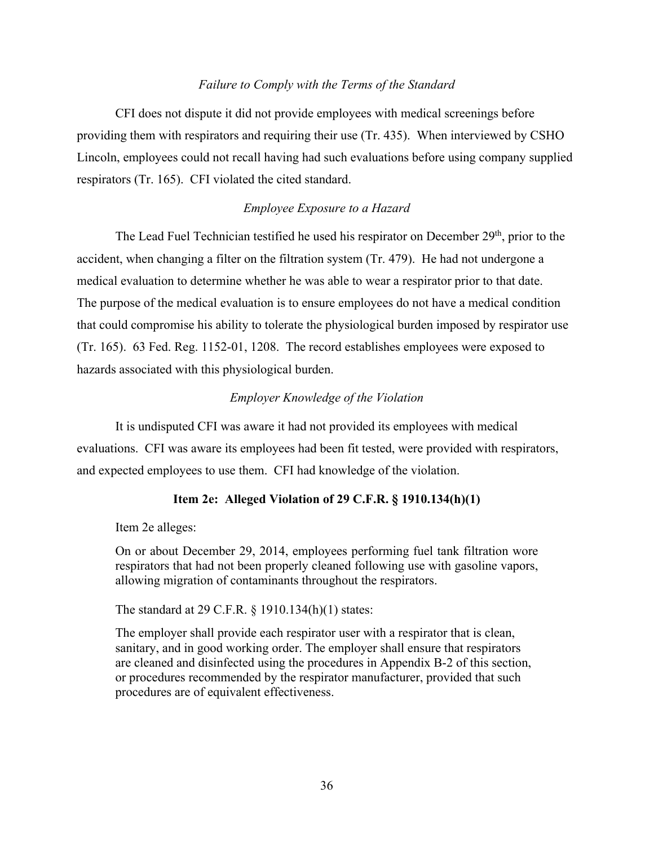# *Failure to Comply with the Terms of the Standard*

CFI does not dispute it did not provide employees with medical screenings before providing them with respirators and requiring their use (Tr. 435). When interviewed by CSHO Lincoln, employees could not recall having had such evaluations before using company supplied respirators (Tr. 165). CFI violated the cited standard.

# *Employee Exposure to a Hazard*

The Lead Fuel Technician testified he used his respirator on December 29<sup>th</sup>, prior to the accident, when changing a filter on the filtration system (Tr. 479). He had not undergone a medical evaluation to determine whether he was able to wear a respirator prior to that date. The purpose of the medical evaluation is to ensure employees do not have a medical condition that could compromise his ability to tolerate the physiological burden imposed by respirator use (Tr. 165). 63 Fed. Reg. 1152-01, 1208. The record establishes employees were exposed to hazards associated with this physiological burden.

# *Employer Knowledge of the Violation*

It is undisputed CFI was aware it had not provided its employees with medical evaluations. CFI was aware its employees had been fit tested, were provided with respirators, and expected employees to use them. CFI had knowledge of the violation.

# **Item 2e: Alleged Violation of 29 C.F.R. § 1910.134(h)(1)**

Item 2e alleges:

On or about December 29, 2014, employees performing fuel tank filtration wore respirators that had not been properly cleaned following use with gasoline vapors, allowing migration of contaminants throughout the respirators.

The standard at 29 C.F.R. § 1910.134(h)(1) states:

The employer shall provide each respirator user with a respirator that is clean, sanitary, and in good working order. The employer shall ensure that respirators are cleaned and disinfected using the procedures in Appendix B-2 of this section, or procedures recommended by the respirator manufacturer, provided that such procedures are of equivalent effectiveness.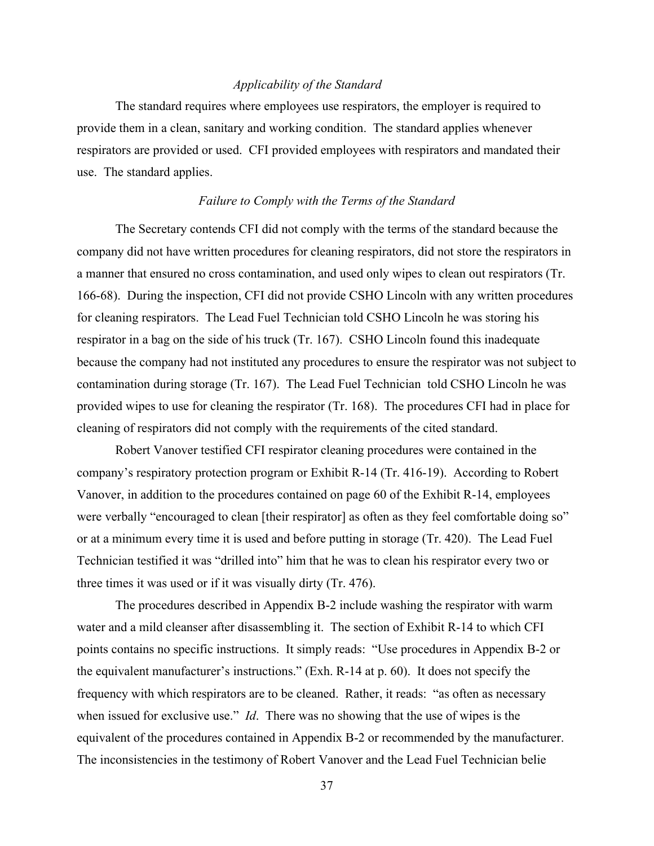# *Applicability of the Standard*

 The standard requires where employees use respirators, the employer is required to provide them in a clean, sanitary and working condition. The standard applies whenever respirators are provided or used. CFI provided employees with respirators and mandated their use. The standard applies.

# *Failure to Comply with the Terms of the Standard*

The Secretary contends CFI did not comply with the terms of the standard because the company did not have written procedures for cleaning respirators, did not store the respirators in a manner that ensured no cross contamination, and used only wipes to clean out respirators (Tr. 166-68). During the inspection, CFI did not provide CSHO Lincoln with any written procedures for cleaning respirators. The Lead Fuel Technician told CSHO Lincoln he was storing his respirator in a bag on the side of his truck (Tr. 167). CSHO Lincoln found this inadequate because the company had not instituted any procedures to ensure the respirator was not subject to contamination during storage (Tr. 167). The Lead Fuel Technician told CSHO Lincoln he was provided wipes to use for cleaning the respirator (Tr. 168). The procedures CFI had in place for cleaning of respirators did not comply with the requirements of the cited standard.

Robert Vanover testified CFI respirator cleaning procedures were contained in the company's respiratory protection program or Exhibit R-14 (Tr. 416-19). According to Robert Vanover, in addition to the procedures contained on page 60 of the Exhibit R-14, employees were verbally "encouraged to clean [their respirator] as often as they feel comfortable doing so" or at a minimum every time it is used and before putting in storage (Tr. 420). The Lead Fuel Technician testified it was "drilled into" him that he was to clean his respirator every two or three times it was used or if it was visually dirty (Tr. 476).

 The procedures described in Appendix B-2 include washing the respirator with warm water and a mild cleanser after disassembling it. The section of Exhibit R-14 to which CFI points contains no specific instructions. It simply reads: "Use procedures in Appendix B-2 or the equivalent manufacturer's instructions." (Exh. R-14 at p. 60). It does not specify the frequency with which respirators are to be cleaned. Rather, it reads: "as often as necessary when issued for exclusive use." *Id*. There was no showing that the use of wipes is the equivalent of the procedures contained in Appendix B-2 or recommended by the manufacturer. The inconsistencies in the testimony of Robert Vanover and the Lead Fuel Technician belie

37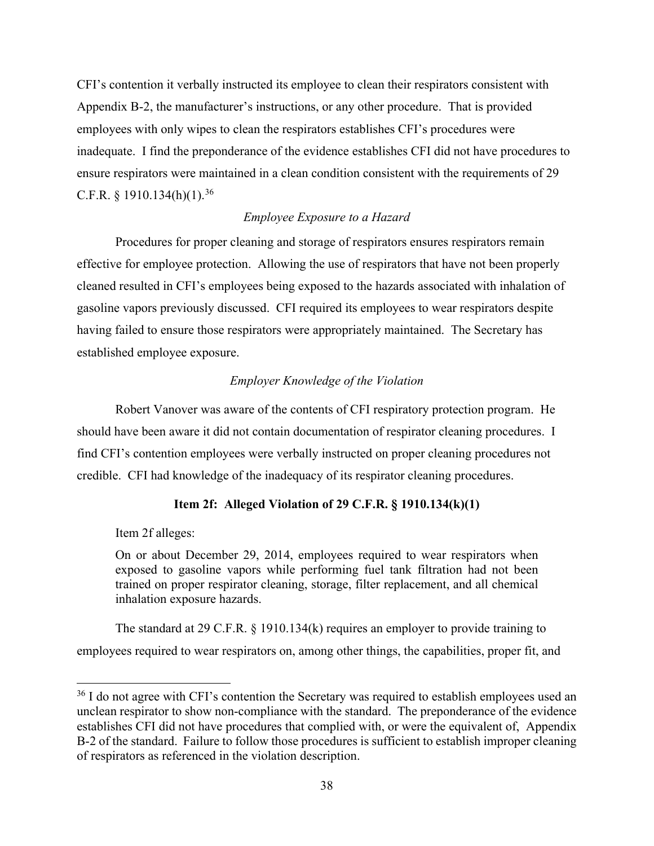CFI's contention it verbally instructed its employee to clean their respirators consistent with Appendix B-2, the manufacturer's instructions, or any other procedure. That is provided employees with only wipes to clean the respirators establishes CFI's procedures were inadequate. I find the preponderance of the evidence establishes CFI did not have procedures to ensure respirators were maintained in a clean condition consistent with the requirements of 29 C.F.R.  $§$  1910.134(h)(1).<sup>[36](#page-37-0)</sup>

# *Employee Exposure to a Hazard*

 Procedures for proper cleaning and storage of respirators ensures respirators remain effective for employee protection. Allowing the use of respirators that have not been properly cleaned resulted in CFI's employees being exposed to the hazards associated with inhalation of gasoline vapors previously discussed. CFI required its employees to wear respirators despite having failed to ensure those respirators were appropriately maintained. The Secretary has established employee exposure.

# *Employer Knowledge of the Violation*

Robert Vanover was aware of the contents of CFI respiratory protection program. He should have been aware it did not contain documentation of respirator cleaning procedures. I find CFI's contention employees were verbally instructed on proper cleaning procedures not credible. CFI had knowledge of the inadequacy of its respirator cleaning procedures.

# **Item 2f: Alleged Violation of 29 C.F.R. § 1910.134(k)(1)**

Item 2f alleges:

On or about December 29, 2014, employees required to wear respirators when exposed to gasoline vapors while performing fuel tank filtration had not been trained on proper respirator cleaning, storage, filter replacement, and all chemical inhalation exposure hazards.

The standard at 29 C.F.R. § 1910.134(k) requires an employer to provide training to employees required to wear respirators on, among other things, the capabilities, proper fit, and

<span id="page-37-0"></span><sup>&</sup>lt;sup>36</sup> I do not agree with CFI's contention the Secretary was required to establish employees used an unclean respirator to show non-compliance with the standard. The preponderance of the evidence establishes CFI did not have procedures that complied with, or were the equivalent of, Appendix B-2 of the standard. Failure to follow those procedures is sufficient to establish improper cleaning of respirators as referenced in the violation description.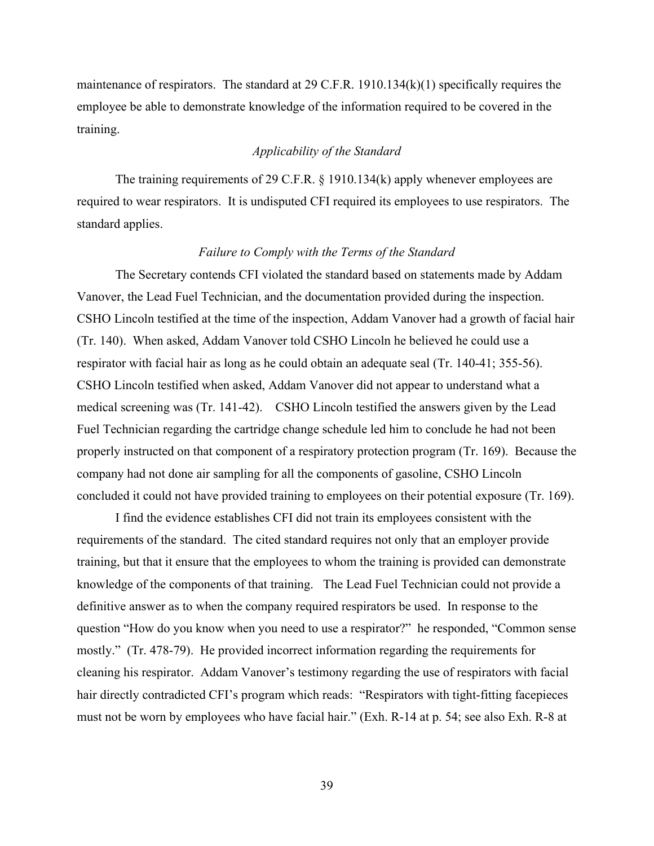maintenance of respirators. The standard at 29 C.F.R. 1910.134(k)(1) specifically requires the employee be able to demonstrate knowledge of the information required to be covered in the training.

# *Applicability of the Standard*

The training requirements of 29 C.F.R. § 1910.134(k) apply whenever employees are required to wear respirators. It is undisputed CFI required its employees to use respirators. The standard applies.

#### *Failure to Comply with the Terms of the Standard*

The Secretary contends CFI violated the standard based on statements made by Addam Vanover, the Lead Fuel Technician, and the documentation provided during the inspection. CSHO Lincoln testified at the time of the inspection, Addam Vanover had a growth of facial hair (Tr. 140). When asked, Addam Vanover told CSHO Lincoln he believed he could use a respirator with facial hair as long as he could obtain an adequate seal (Tr. 140-41; 355-56). CSHO Lincoln testified when asked, Addam Vanover did not appear to understand what a medical screening was (Tr. 141-42). CSHO Lincoln testified the answers given by the Lead Fuel Technician regarding the cartridge change schedule led him to conclude he had not been properly instructed on that component of a respiratory protection program (Tr. 169). Because the company had not done air sampling for all the components of gasoline, CSHO Lincoln concluded it could not have provided training to employees on their potential exposure (Tr. 169).

I find the evidence establishes CFI did not train its employees consistent with the requirements of the standard. The cited standard requires not only that an employer provide training, but that it ensure that the employees to whom the training is provided can demonstrate knowledge of the components of that training. The Lead Fuel Technician could not provide a definitive answer as to when the company required respirators be used. In response to the question "How do you know when you need to use a respirator?" he responded, "Common sense mostly." (Tr. 478-79). He provided incorrect information regarding the requirements for cleaning his respirator. Addam Vanover's testimony regarding the use of respirators with facial hair directly contradicted CFI's program which reads: "Respirators with tight-fitting facepieces must not be worn by employees who have facial hair." (Exh. R-14 at p. 54; see also Exh. R-8 at

39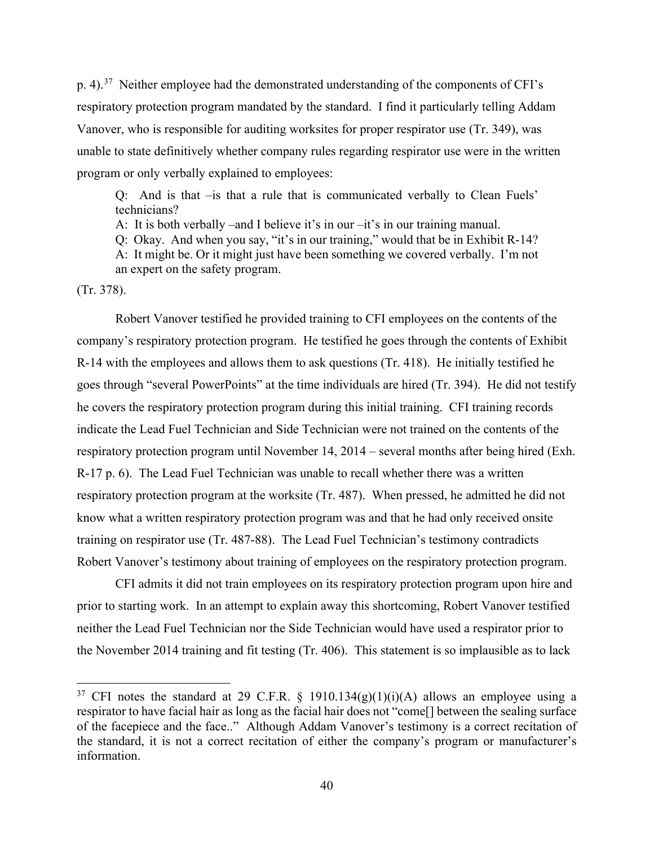p. 4).[37](#page-39-0) Neither employee had the demonstrated understanding of the components of CFI's respiratory protection program mandated by the standard. I find it particularly telling Addam Vanover, who is responsible for auditing worksites for proper respirator use (Tr. 349), was unable to state definitively whether company rules regarding respirator use were in the written program or only verbally explained to employees:

Q: And is that –is that a rule that is communicated verbally to Clean Fuels' technicians?

A: It is both verbally –and I believe it's in our –it's in our training manual.

Q: Okay. And when you say, "it's in our training," would that be in Exhibit R-14?

A: It might be. Or it might just have been something we covered verbally. I'm not an expert on the safety program.

(Tr. 378).

 Robert Vanover testified he provided training to CFI employees on the contents of the company's respiratory protection program. He testified he goes through the contents of Exhibit R-14 with the employees and allows them to ask questions (Tr. 418). He initially testified he goes through "several PowerPoints" at the time individuals are hired (Tr. 394). He did not testify he covers the respiratory protection program during this initial training. CFI training records indicate the Lead Fuel Technician and Side Technician were not trained on the contents of the respiratory protection program until November 14, 2014 – several months after being hired (Exh. R-17 p. 6). The Lead Fuel Technician was unable to recall whether there was a written respiratory protection program at the worksite (Tr. 487). When pressed, he admitted he did not know what a written respiratory protection program was and that he had only received onsite training on respirator use (Tr. 487-88). The Lead Fuel Technician's testimony contradicts Robert Vanover's testimony about training of employees on the respiratory protection program.

CFI admits it did not train employees on its respiratory protection program upon hire and prior to starting work. In an attempt to explain away this shortcoming, Robert Vanover testified neither the Lead Fuel Technician nor the Side Technician would have used a respirator prior to the November 2014 training and fit testing (Tr. 406). This statement is so implausible as to lack

<span id="page-39-0"></span><sup>&</sup>lt;sup>37</sup> CFI notes the standard at 29 C.F.R. § 1910.134(g)(1)(i)(A) allows an employee using a respirator to have facial hair as long as the facial hair does not "come[] between the sealing surface of the facepiece and the face.." Although Addam Vanover's testimony is a correct recitation of the standard, it is not a correct recitation of either the company's program or manufacturer's information.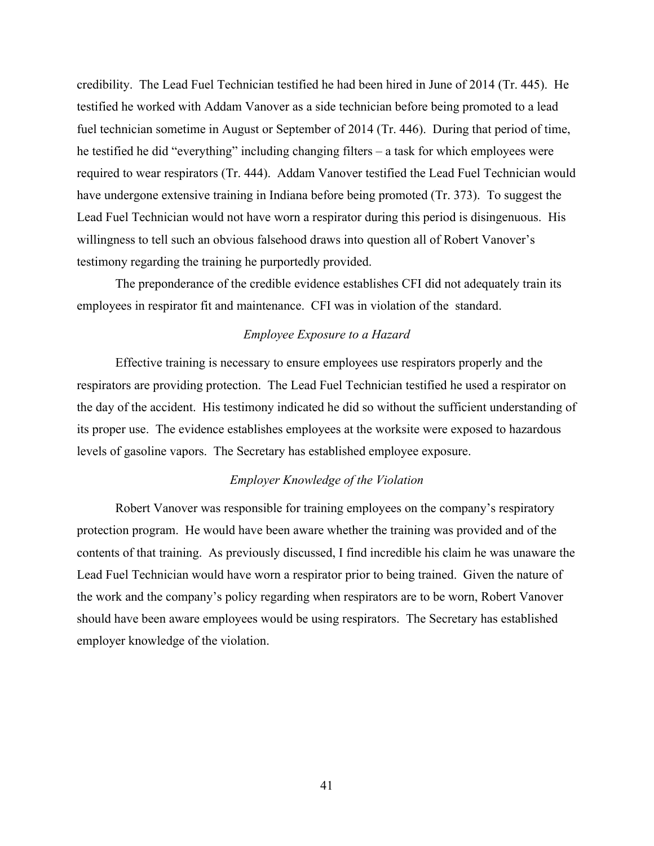credibility. The Lead Fuel Technician testified he had been hired in June of 2014 (Tr. 445). He testified he worked with Addam Vanover as a side technician before being promoted to a lead fuel technician sometime in August or September of 2014 (Tr. 446). During that period of time, he testified he did "everything" including changing filters – a task for which employees were required to wear respirators (Tr. 444). Addam Vanover testified the Lead Fuel Technician would have undergone extensive training in Indiana before being promoted (Tr. 373). To suggest the Lead Fuel Technician would not have worn a respirator during this period is disingenuous. His willingness to tell such an obvious falsehood draws into question all of Robert Vanover's testimony regarding the training he purportedly provided.

The preponderance of the credible evidence establishes CFI did not adequately train its employees in respirator fit and maintenance. CFI was in violation of the standard.

# *Employee Exposure to a Hazard*

Effective training is necessary to ensure employees use respirators properly and the respirators are providing protection. The Lead Fuel Technician testified he used a respirator on the day of the accident. His testimony indicated he did so without the sufficient understanding of its proper use. The evidence establishes employees at the worksite were exposed to hazardous levels of gasoline vapors. The Secretary has established employee exposure.

# *Employer Knowledge of the Violation*

 Robert Vanover was responsible for training employees on the company's respiratory protection program. He would have been aware whether the training was provided and of the contents of that training. As previously discussed, I find incredible his claim he was unaware the Lead Fuel Technician would have worn a respirator prior to being trained. Given the nature of the work and the company's policy regarding when respirators are to be worn, Robert Vanover should have been aware employees would be using respirators. The Secretary has established employer knowledge of the violation.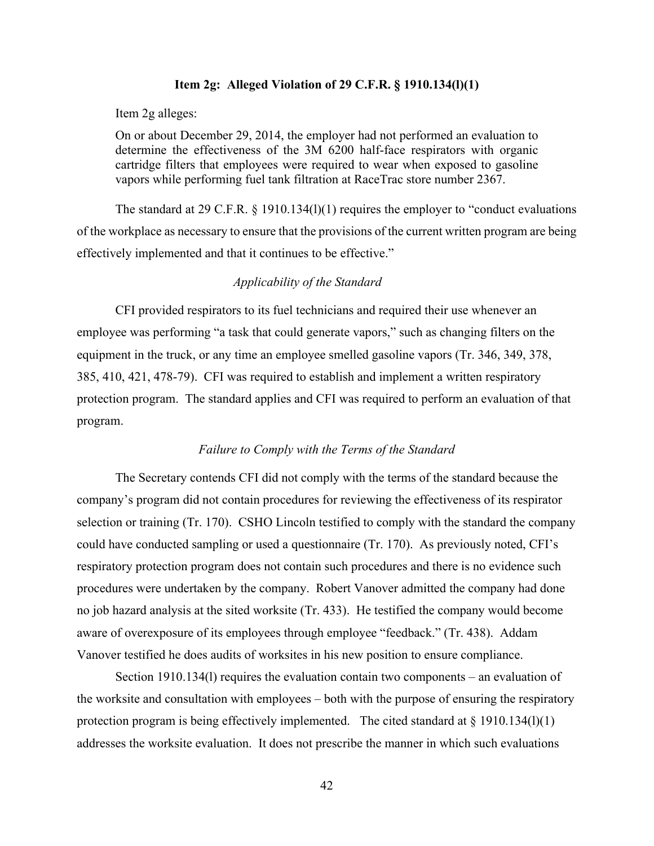### **Item 2g: Alleged Violation of 29 C.F.R. § 1910.134(l)(1)**

Item 2g alleges:

On or about December 29, 2014, the employer had not performed an evaluation to determine the effectiveness of the 3M 6200 half-face respirators with organic cartridge filters that employees were required to wear when exposed to gasoline vapors while performing fuel tank filtration at RaceTrac store number 2367.

The standard at 29 C.F.R. § 1910.134(1)(1) requires the employer to "conduct evaluations of the workplace as necessary to ensure that the provisions of the current written program are being effectively implemented and that it continues to be effective."

# *Applicability of the Standard*

CFI provided respirators to its fuel technicians and required their use whenever an employee was performing "a task that could generate vapors," such as changing filters on the equipment in the truck, or any time an employee smelled gasoline vapors (Tr. 346, 349, 378, 385, 410, 421, 478-79). CFI was required to establish and implement a written respiratory protection program. The standard applies and CFI was required to perform an evaluation of that program.

# *Failure to Comply with the Terms of the Standard*

The Secretary contends CFI did not comply with the terms of the standard because the company's program did not contain procedures for reviewing the effectiveness of its respirator selection or training (Tr. 170). CSHO Lincoln testified to comply with the standard the company could have conducted sampling or used a questionnaire (Tr. 170). As previously noted, CFI's respiratory protection program does not contain such procedures and there is no evidence such procedures were undertaken by the company. Robert Vanover admitted the company had done no job hazard analysis at the sited worksite (Tr. 433). He testified the company would become aware of overexposure of its employees through employee "feedback." (Tr. 438). Addam Vanover testified he does audits of worksites in his new position to ensure compliance.

 Section 1910.134(l) requires the evaluation contain two components – an evaluation of the worksite and consultation with employees – both with the purpose of ensuring the respiratory protection program is being effectively implemented. The cited standard at  $\S$  1910.134(1)(1) addresses the worksite evaluation. It does not prescribe the manner in which such evaluations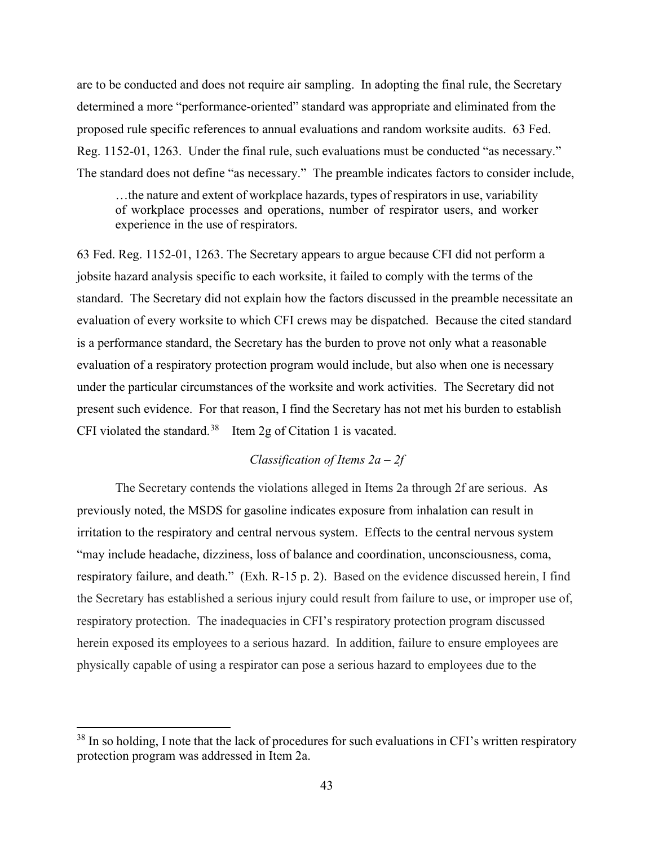are to be conducted and does not require air sampling. In adopting the final rule, the Secretary determined a more "performance-oriented" standard was appropriate and eliminated from the proposed rule specific references to annual evaluations and random worksite audits. 63 Fed. Reg. 1152-01, 1263. Under the final rule, such evaluations must be conducted "as necessary." The standard does not define "as necessary." The preamble indicates factors to consider include,

…the nature and extent of workplace hazards, types of respirators in use, variability of workplace processes and operations, number of respirator users, and worker experience in the use of respirators.

63 Fed. Reg. 1152-01, 1263. The Secretary appears to argue because CFI did not perform a jobsite hazard analysis specific to each worksite, it failed to comply with the terms of the standard. The Secretary did not explain how the factors discussed in the preamble necessitate an evaluation of every worksite to which CFI crews may be dispatched. Because the cited standard is a performance standard, the Secretary has the burden to prove not only what a reasonable evaluation of a respiratory protection program would include, but also when one is necessary under the particular circumstances of the worksite and work activities. The Secretary did not present such evidence. For that reason, I find the Secretary has not met his burden to establish CFI violated the standard.<sup>[38](#page-42-0)</sup> Item 2g of Citation 1 is vacated.

# *Classification of Items 2a – 2f*

The Secretary contends the violations alleged in Items 2a through 2f are serious. As previously noted, the MSDS for gasoline indicates exposure from inhalation can result in irritation to the respiratory and central nervous system. Effects to the central nervous system "may include headache, dizziness, loss of balance and coordination, unconsciousness, coma, respiratory failure, and death." (Exh. R-15 p. 2). Based on the evidence discussed herein, I find the Secretary has established a serious injury could result from failure to use, or improper use of, respiratory protection. The inadequacies in CFI's respiratory protection program discussed herein exposed its employees to a serious hazard. In addition, failure to ensure employees are physically capable of using a respirator can pose a serious hazard to employees due to the

<span id="page-42-0"></span><sup>&</sup>lt;sup>38</sup> In so holding, I note that the lack of procedures for such evaluations in CFI's written respiratory protection program was addressed in Item 2a.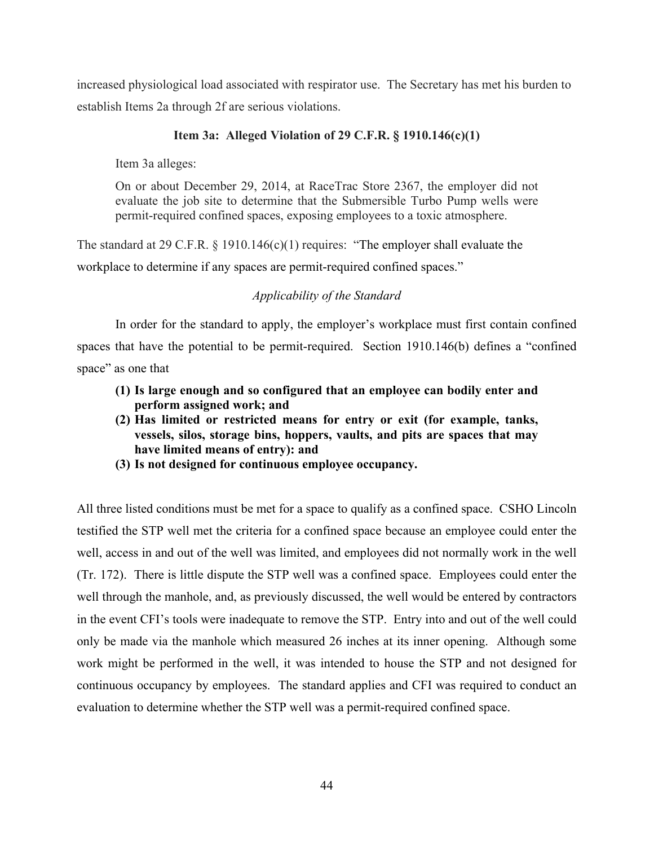increased physiological load associated with respirator use. The Secretary has met his burden to establish Items 2a through 2f are serious violations.

# **Item 3a: Alleged Violation of 29 C.F.R. § 1910.146(c)(1)**

Item 3a alleges:

On or about December 29, 2014, at RaceTrac Store 2367, the employer did not evaluate the job site to determine that the Submersible Turbo Pump wells were permit-required confined spaces, exposing employees to a toxic atmosphere.

The standard at 29 C.F.R. § 1910.146(c)(1) requires: "The employer shall evaluate the workplace to determine if any spaces are permit-required confined spaces."

# *Applicability of the Standard*

In order for the standard to apply, the employer's workplace must first contain confined spaces that have the potential to be permit-required. Section 1910.146(b) defines a "confined space" as one that

- **(1) Is large enough and so configured that an employee can bodily enter and perform assigned work; and**
- **(2) Has limited or restricted means for entry or exit (for example, tanks, vessels, silos, storage bins, hoppers, vaults, and pits are spaces that may have limited means of entry): and**
- **(3) Is not designed for continuous employee occupancy.**

All three listed conditions must be met for a space to qualify as a confined space. CSHO Lincoln testified the STP well met the criteria for a confined space because an employee could enter the well, access in and out of the well was limited, and employees did not normally work in the well (Tr. 172). There is little dispute the STP well was a confined space. Employees could enter the well through the manhole, and, as previously discussed, the well would be entered by contractors in the event CFI's tools were inadequate to remove the STP. Entry into and out of the well could only be made via the manhole which measured 26 inches at its inner opening. Although some work might be performed in the well, it was intended to house the STP and not designed for continuous occupancy by employees. The standard applies and CFI was required to conduct an evaluation to determine whether the STP well was a permit-required confined space.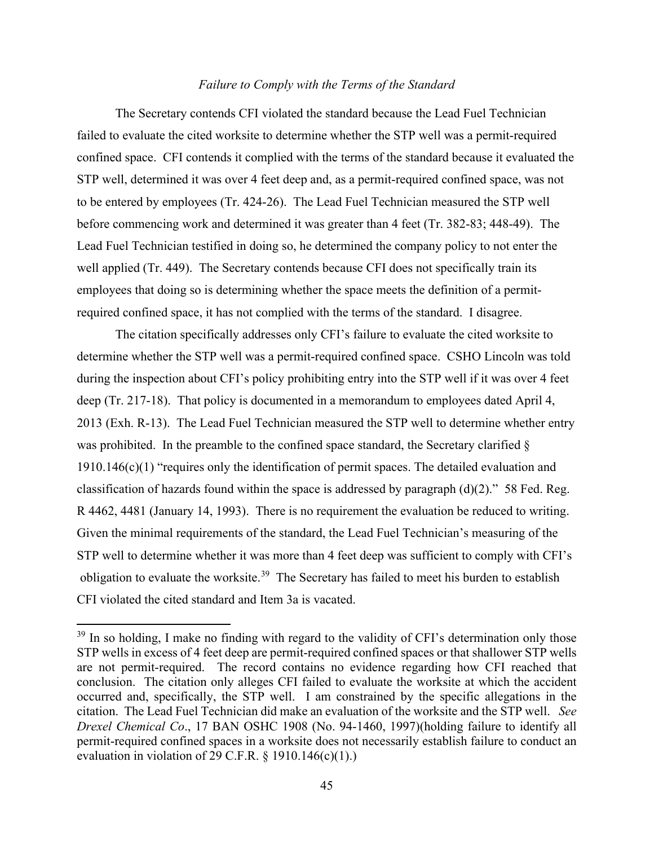# *Failure to Comply with the Terms of the Standard*

The Secretary contends CFI violated the standard because the Lead Fuel Technician failed to evaluate the cited worksite to determine whether the STP well was a permit-required confined space. CFI contends it complied with the terms of the standard because it evaluated the STP well, determined it was over 4 feet deep and, as a permit-required confined space, was not to be entered by employees (Tr. 424-26). The Lead Fuel Technician measured the STP well before commencing work and determined it was greater than 4 feet (Tr. 382-83; 448-49). The Lead Fuel Technician testified in doing so, he determined the company policy to not enter the well applied (Tr. 449). The Secretary contends because CFI does not specifically train its employees that doing so is determining whether the space meets the definition of a permitrequired confined space, it has not complied with the terms of the standard. I disagree.

The citation specifically addresses only CFI's failure to evaluate the cited worksite to determine whether the STP well was a permit-required confined space. CSHO Lincoln was told during the inspection about CFI's policy prohibiting entry into the STP well if it was over 4 feet deep (Tr. 217-18). That policy is documented in a memorandum to employees dated April 4, 2013 (Exh. R-13). The Lead Fuel Technician measured the STP well to determine whether entry was prohibited. In the preamble to the confined space standard, the Secretary clarified § 1910.146(c)(1) "requires only the identification of permit spaces. The detailed evaluation and classification of hazards found within the space is addressed by paragraph (d)(2)." 58 Fed. Reg. R 4462, 4481 (January 14, 1993). There is no requirement the evaluation be reduced to writing. Given the minimal requirements of the standard, the Lead Fuel Technician's measuring of the STP well to determine whether it was more than 4 feet deep was sufficient to comply with CFI's obligation to evaluate the worksite.<sup>39</sup> The Secretary has failed to meet his burden to establish CFI violated the cited standard and Item 3a is vacated.

<span id="page-44-0"></span><sup>&</sup>lt;sup>39</sup> In so holding, I make no finding with regard to the validity of CFI's determination only those STP wells in excess of 4 feet deep are permit-required confined spaces or that shallower STP wells are not permit-required. The record contains no evidence regarding how CFI reached that conclusion. The citation only alleges CFI failed to evaluate the worksite at which the accident occurred and, specifically, the STP well. I am constrained by the specific allegations in the citation. The Lead Fuel Technician did make an evaluation of the worksite and the STP well. *See Drexel Chemical Co*., 17 BAN OSHC 1908 (No. 94-1460, 1997)(holding failure to identify all permit-required confined spaces in a worksite does not necessarily establish failure to conduct an evaluation in violation of 29 C.F.R.  $\S$  1910.146(c)(1).)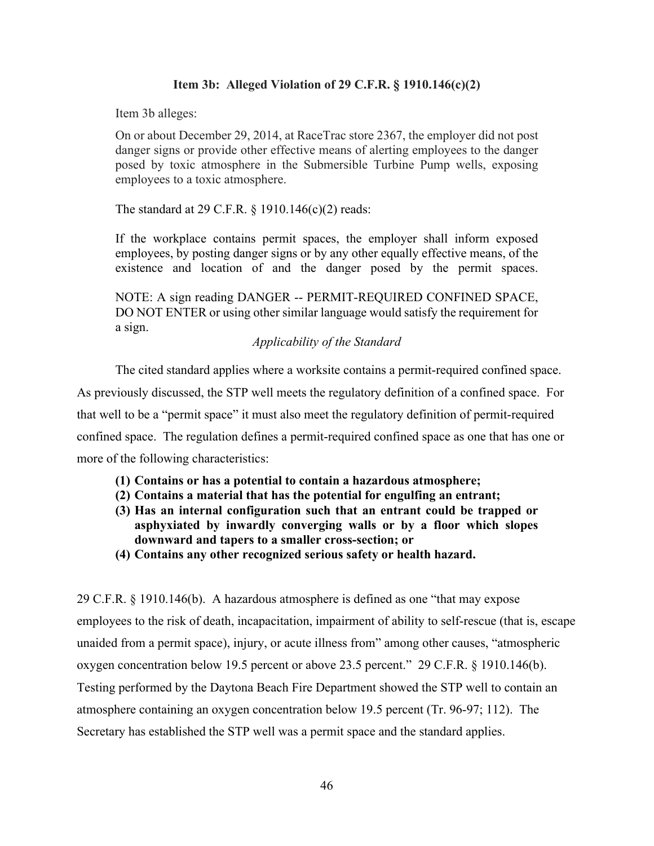# **Item 3b: Alleged Violation of 29 C.F.R. § 1910.146(c)(2)**

Item 3b alleges:

On or about December 29, 2014, at RaceTrac store 2367, the employer did not post danger signs or provide other effective means of alerting employees to the danger posed by toxic atmosphere in the Submersible Turbine Pump wells, exposing employees to a toxic atmosphere.

The standard at 29 C.F.R. § 1910.146(c)(2) reads:

If the workplace contains permit spaces, the employer shall inform exposed employees, by posting danger signs or by any other equally effective means, of the existence and location of and the danger posed by the permit spaces.

NOTE: A sign reading DANGER -- PERMIT-REQUIRED CONFINED SPACE, DO NOT ENTER or using other similar language would satisfy the requirement for a sign.

# *Applicability of the Standard*

The cited standard applies where a worksite contains a permit-required confined space.

As previously discussed, the STP well meets the regulatory definition of a confined space. For that well to be a "permit space" it must also meet the regulatory definition of permit-required confined space. The regulation defines a permit-required confined space as one that has one or more of the following characteristics:

- **(1) Contains or has a potential to contain a hazardous atmosphere;**
- **(2) Contains a material that has the potential for engulfing an entrant;**
- **(3) Has an internal configuration such that an entrant could be trapped or asphyxiated by inwardly converging walls or by a floor which slopes downward and tapers to a smaller cross-section; or**
- **(4) Contains any other recognized serious safety or health hazard.**

29 C.F.R. § 1910.146(b). A hazardous atmosphere is defined as one "that may expose employees to the risk of death, incapacitation, impairment of ability to self-rescue (that is, escape unaided from a permit space), injury, or acute illness from" among other causes, "atmospheric oxygen concentration below 19.5 percent or above 23.5 percent." 29 C.F.R. § 1910.146(b). Testing performed by the Daytona Beach Fire Department showed the STP well to contain an atmosphere containing an oxygen concentration below 19.5 percent (Tr. 96-97; 112). The Secretary has established the STP well was a permit space and the standard applies.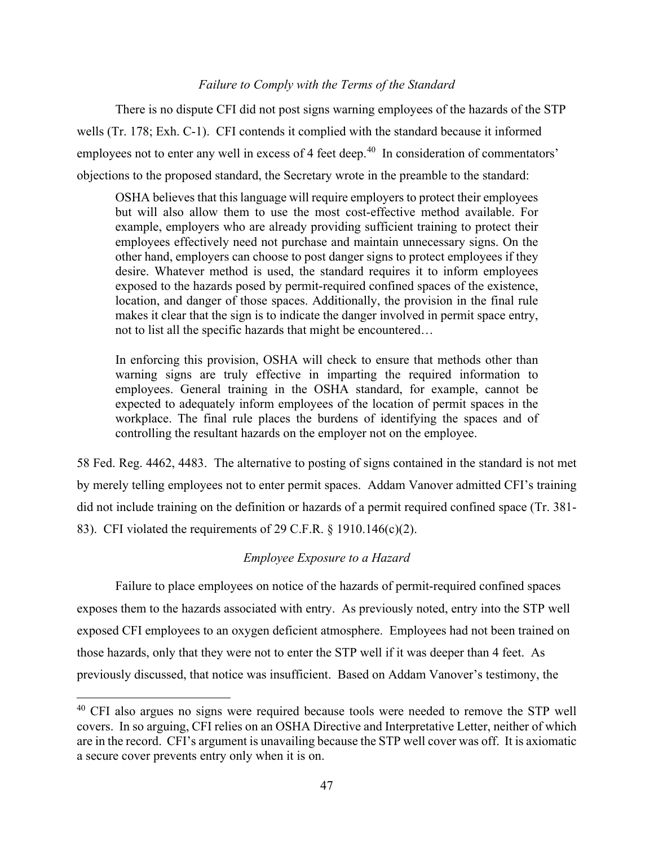# *Failure to Comply with the Terms of the Standard*

 There is no dispute CFI did not post signs warning employees of the hazards of the STP wells (Tr. 178; Exh. C-1). CFI contends it complied with the standard because it informed employees not to enter any well in excess of 4 feet deep.<sup>40</sup> In consideration of commentators' objections to the proposed standard, the Secretary wrote in the preamble to the standard:

OSHA believes that this language will require employers to protect their employees but will also allow them to use the most cost-effective method available. For example, employers who are already providing sufficient training to protect their employees effectively need not purchase and maintain unnecessary signs. On the other hand, employers can choose to post danger signs to protect employees if they desire. Whatever method is used, the standard requires it to inform employees exposed to the hazards posed by permit-required confined spaces of the existence, location, and danger of those spaces. Additionally, the provision in the final rule makes it clear that the sign is to indicate the danger involved in permit space entry, not to list all the specific hazards that might be encountered…

In enforcing this provision, OSHA will check to ensure that methods other than warning signs are truly effective in imparting the required information to employees. General training in the OSHA standard, for example, cannot be expected to adequately inform employees of the location of permit spaces in the workplace. The final rule places the burdens of identifying the spaces and of controlling the resultant hazards on the employer not on the employee.

58 Fed. Reg. 4462, 4483. The alternative to posting of signs contained in the standard is not met by merely telling employees not to enter permit spaces. Addam Vanover admitted CFI's training did not include training on the definition or hazards of a permit required confined space (Tr. 381- 83). CFI violated the requirements of 29 C.F.R. § 1910.146(c)(2).

# *Employee Exposure to a Hazard*

Failure to place employees on notice of the hazards of permit-required confined spaces exposes them to the hazards associated with entry. As previously noted, entry into the STP well exposed CFI employees to an oxygen deficient atmosphere. Employees had not been trained on those hazards, only that they were not to enter the STP well if it was deeper than 4 feet. As previously discussed, that notice was insufficient. Based on Addam Vanover's testimony, the

<span id="page-46-0"></span><sup>&</sup>lt;sup>40</sup> CFI also argues no signs were required because tools were needed to remove the STP well covers. In so arguing, CFI relies on an OSHA Directive and Interpretative Letter, neither of which are in the record. CFI's argument is unavailing because the STP well cover was off. It is axiomatic a secure cover prevents entry only when it is on.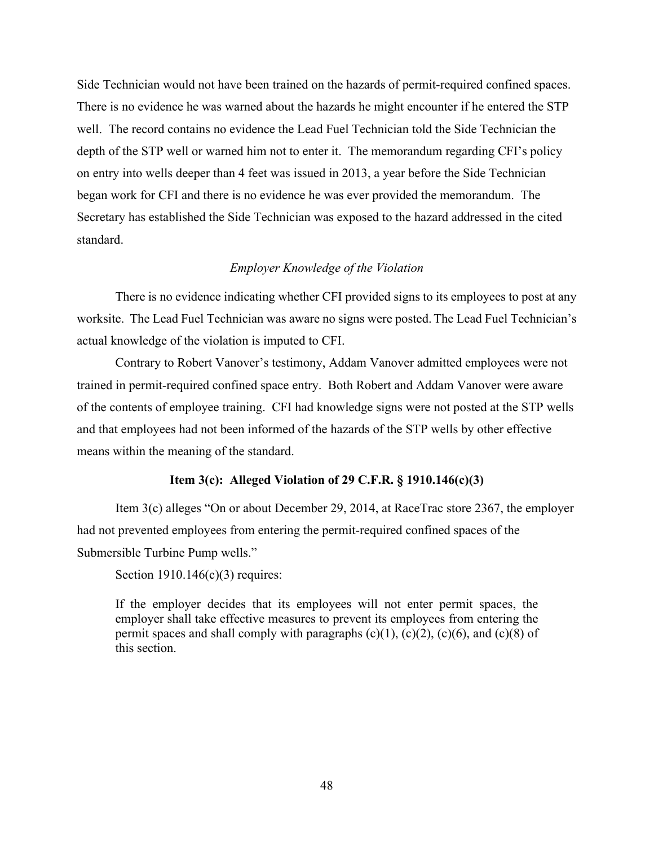Side Technician would not have been trained on the hazards of permit-required confined spaces. There is no evidence he was warned about the hazards he might encounter if he entered the STP well. The record contains no evidence the Lead Fuel Technician told the Side Technician the depth of the STP well or warned him not to enter it. The memorandum regarding CFI's policy on entry into wells deeper than 4 feet was issued in 2013, a year before the Side Technician began work for CFI and there is no evidence he was ever provided the memorandum. The Secretary has established the Side Technician was exposed to the hazard addressed in the cited standard.

# *Employer Knowledge of the Violation*

There is no evidence indicating whether CFI provided signs to its employees to post at any worksite. The Lead Fuel Technician was aware no signs were posted.The Lead Fuel Technician's actual knowledge of the violation is imputed to CFI.

Contrary to Robert Vanover's testimony, Addam Vanover admitted employees were not trained in permit-required confined space entry. Both Robert and Addam Vanover were aware of the contents of employee training. CFI had knowledge signs were not posted at the STP wells and that employees had not been informed of the hazards of the STP wells by other effective means within the meaning of the standard.

#### **Item 3(c): Alleged Violation of 29 C.F.R. § 1910.146(c)(3)**

Item 3(c) alleges "On or about December 29, 2014, at RaceTrac store 2367, the employer had not prevented employees from entering the permit-required confined spaces of the Submersible Turbine Pump wells."

Section  $1910.146(c)(3)$  requires:

If the employer decides that its employees will not enter permit spaces, the employer shall take effective measures to prevent its employees from entering the permit spaces and shall comply with paragraphs  $(c)(1)$ ,  $(c)(2)$ ,  $(c)(6)$ , and  $(c)(8)$  of this section.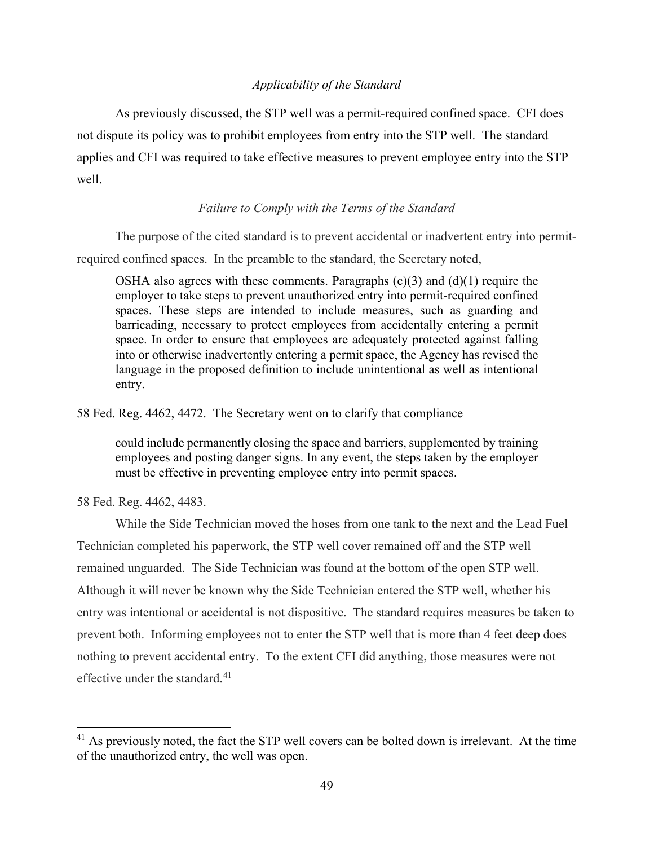# *Applicability of the Standard*

As previously discussed, the STP well was a permit-required confined space. CFI does not dispute its policy was to prohibit employees from entry into the STP well. The standard applies and CFI was required to take effective measures to prevent employee entry into the STP well.

# *Failure to Comply with the Terms of the Standard*

 The purpose of the cited standard is to prevent accidental or inadvertent entry into permitrequired confined spaces. In the preamble to the standard, the Secretary noted,

OSHA also agrees with these comments. Paragraphs  $(c)(3)$  and  $(d)(1)$  require the employer to take steps to prevent unauthorized entry into permit-required confined spaces. These steps are intended to include measures, such as guarding and barricading, necessary to protect employees from accidentally entering a permit space. In order to ensure that employees are adequately protected against falling into or otherwise inadvertently entering a permit space, the Agency has revised the language in the proposed definition to include unintentional as well as intentional entry.

58 Fed. Reg. 4462, 4472. The Secretary went on to clarify that compliance

could include permanently closing the space and barriers, supplemented by training employees and posting danger signs. In any event, the steps taken by the employer must be effective in preventing employee entry into permit spaces.

58 Fed. Reg. 4462, 4483.

 While the Side Technician moved the hoses from one tank to the next and the Lead Fuel Technician completed his paperwork, the STP well cover remained off and the STP well remained unguarded. The Side Technician was found at the bottom of the open STP well. Although it will never be known why the Side Technician entered the STP well, whether his entry was intentional or accidental is not dispositive. The standard requires measures be taken to prevent both. Informing employees not to enter the STP well that is more than 4 feet deep does nothing to prevent accidental entry. To the extent CFI did anything, those measures were not effective under the standard.<sup>[41](#page-48-0)</sup>

<span id="page-48-0"></span> $41$  As previously noted, the fact the STP well covers can be bolted down is irrelevant. At the time of the unauthorized entry, the well was open.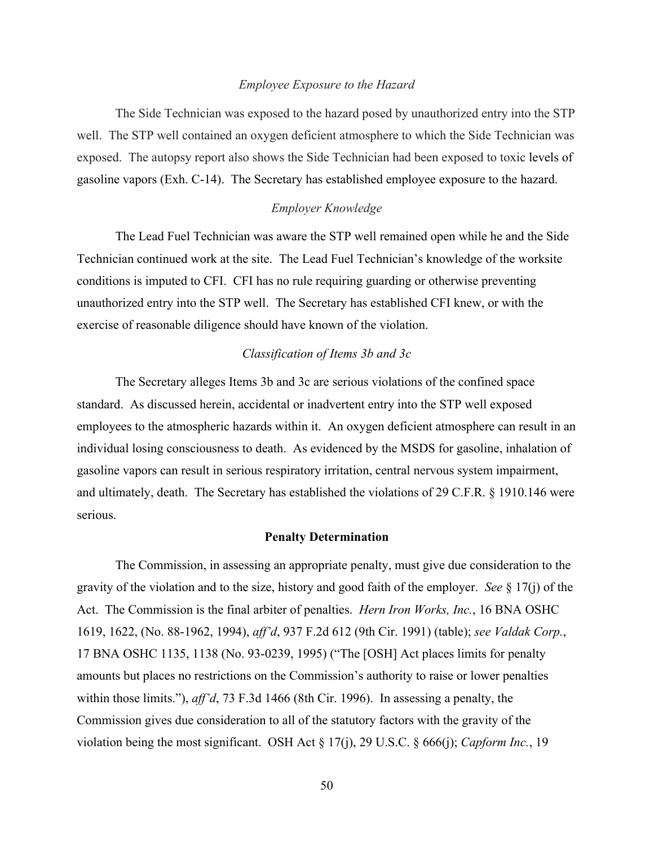#### *Employee Exposure to the Hazard*

 The Side Technician was exposed to the hazard posed by unauthorized entry into the STP well. The STP well contained an oxygen deficient atmosphere to which the Side Technician was exposed. The autopsy report also shows the Side Technician had been exposed to toxic levels of gasoline vapors (Exh. C-14). The Secretary has established employee exposure to the hazard.

# *Employer Knowledge*

The Lead Fuel Technician was aware the STP well remained open while he and the Side Technician continued work at the site. The Lead Fuel Technician's knowledge of the worksite conditions is imputed to CFI. CFI has no rule requiring guarding or otherwise preventing unauthorized entry into the STP well. The Secretary has established CFI knew, or with the exercise of reasonable diligence should have known of the violation.

# *Classification of Items 3b and 3c*

The Secretary alleges Items 3b and 3c are serious violations of the confined space standard. As discussed herein, accidental or inadvertent entry into the STP well exposed employees to the atmospheric hazards within it. An oxygen deficient atmosphere can result in an individual losing consciousness to death. As evidenced by the MSDS for gasoline, inhalation of gasoline vapors can result in serious respiratory irritation, central nervous system impairment, and ultimately, death. The Secretary has established the violations of 29 C.F.R. § 1910.146 were serious.

# **Penalty Determination**

The Commission, in assessing an appropriate penalty, must give due consideration to the gravity of the violation and to the size, history and good faith of the employer. *See* § 17(j) of the Act. The Commission is the final arbiter of penalties. *Hern Iron Works, Inc.*, 16 BNA OSHC 1619, 1622, (No. 88-1962, 1994), *aff'd*, 937 F.2d 612 (9th Cir. 1991) (table); *see Valdak Corp.*, 17 BNA OSHC 1135, 1138 (No. 93-0239, 1995) ("The [OSH] Act places limits for penalty amounts but places no restrictions on the Commission's authority to raise or lower penalties within those limits."), *aff'd*, 73 F.3d 1466 (8th Cir. 1996). In assessing a penalty, the Commission gives due consideration to all of the statutory factors with the gravity of the violation being the most significant. OSH Act § 17(j), 29 U.S.C. § 666(j); *Capform Inc.*, 19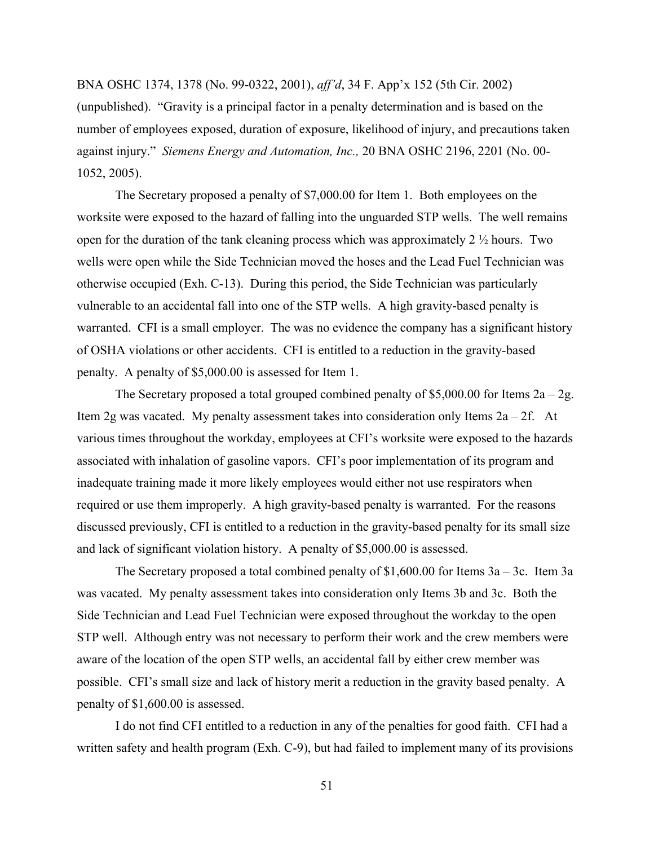BNA OSHC 1374, 1378 (No. 99-0322, 2001), *aff'd*, 34 F. App'x 152 (5th Cir. 2002) (unpublished). "Gravity is a principal factor in a penalty determination and is based on the number of employees exposed, duration of exposure, likelihood of injury, and precautions taken against injury." *Siemens Energy and Automation, Inc.,* 20 BNA OSHC 2196, 2201 (No. 00- 1052, 2005).

The Secretary proposed a penalty of \$7,000.00 for Item 1. Both employees on the worksite were exposed to the hazard of falling into the unguarded STP wells. The well remains open for the duration of the tank cleaning process which was approximately 2  $\frac{1}{2}$  hours. Two wells were open while the Side Technician moved the hoses and the Lead Fuel Technician was otherwise occupied (Exh. C-13). During this period, the Side Technician was particularly vulnerable to an accidental fall into one of the STP wells. A high gravity-based penalty is warranted. CFI is a small employer. The was no evidence the company has a significant history of OSHA violations or other accidents. CFI is entitled to a reduction in the gravity-based penalty. A penalty of \$5,000.00 is assessed for Item 1.

The Secretary proposed a total grouped combined penalty of \$5,000.00 for Items  $2a - 2g$ . Item 2g was vacated. My penalty assessment takes into consideration only Items  $2a - 2f$ . At various times throughout the workday, employees at CFI's worksite were exposed to the hazards associated with inhalation of gasoline vapors. CFI's poor implementation of its program and inadequate training made it more likely employees would either not use respirators when required or use them improperly. A high gravity-based penalty is warranted. For the reasons discussed previously, CFI is entitled to a reduction in the gravity-based penalty for its small size and lack of significant violation history. A penalty of \$5,000.00 is assessed.

The Secretary proposed a total combined penalty of  $$1,600.00$  for Items  $3a - 3c$ . Item  $3a$ was vacated. My penalty assessment takes into consideration only Items 3b and 3c. Both the Side Technician and Lead Fuel Technician were exposed throughout the workday to the open STP well. Although entry was not necessary to perform their work and the crew members were aware of the location of the open STP wells, an accidental fall by either crew member was possible. CFI's small size and lack of history merit a reduction in the gravity based penalty. A penalty of \$1,600.00 is assessed.

I do not find CFI entitled to a reduction in any of the penalties for good faith. CFI had a written safety and health program (Exh. C-9), but had failed to implement many of its provisions

51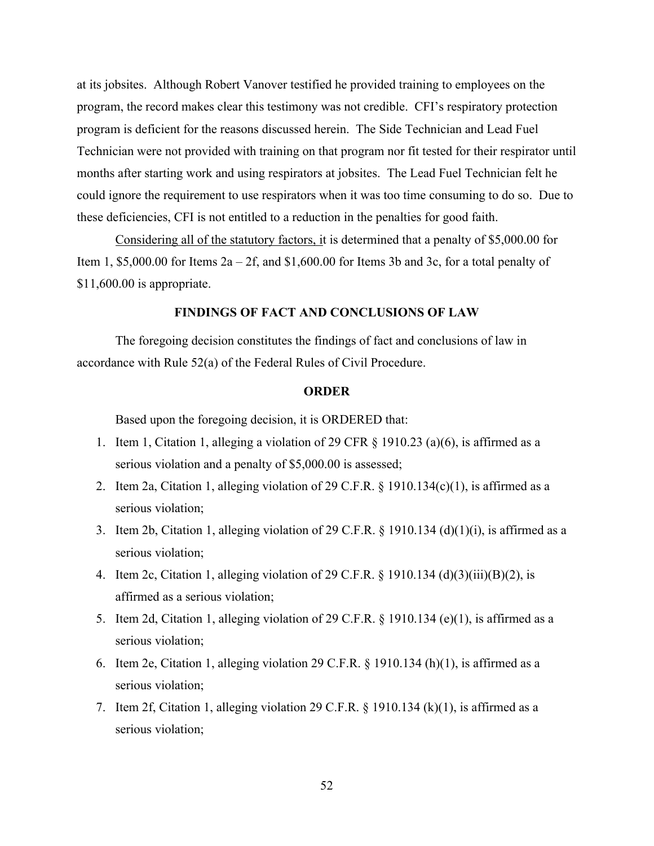at its jobsites. Although Robert Vanover testified he provided training to employees on the program, the record makes clear this testimony was not credible. CFI's respiratory protection program is deficient for the reasons discussed herein. The Side Technician and Lead Fuel Technician were not provided with training on that program nor fit tested for their respirator until months after starting work and using respirators at jobsites. The Lead Fuel Technician felt he could ignore the requirement to use respirators when it was too time consuming to do so. Due to these deficiencies, CFI is not entitled to a reduction in the penalties for good faith.

Considering all of the statutory factors, it is determined that a penalty of \$5,000.00 for Item 1, \$5,000.00 for Items  $2a - 2f$ , and \$1,600.00 for Items 3b and 3c, for a total penalty of \$11,600.00 is appropriate.

# **FINDINGS OF FACT AND CONCLUSIONS OF LAW**

The foregoing decision constitutes the findings of fact and conclusions of law in accordance with Rule 52(a) of the Federal Rules of Civil Procedure.

#### **ORDER**

Based upon the foregoing decision, it is ORDERED that:

- 1. Item 1, Citation 1, alleging a violation of 29 CFR  $\S$  1910.23 (a)(6), is affirmed as a serious violation and a penalty of \$5,000.00 is assessed;
- 2. Item 2a, Citation 1, alleging violation of 29 C.F.R. § 1910.134(c)(1), is affirmed as a serious violation;
- 3. Item 2b, Citation 1, alleging violation of 29 C.F.R. § 1910.134 (d)(1)(i), is affirmed as a serious violation;
- 4. Item 2c, Citation 1, alleging violation of 29 C.F.R. § 1910.134 (d)(3)(iii)(B)(2), is affirmed as a serious violation;
- 5. Item 2d, Citation 1, alleging violation of 29 C.F.R. § 1910.134 (e)(1), is affirmed as a serious violation;
- 6. Item 2e, Citation 1, alleging violation 29 C.F.R. § 1910.134 (h)(1), is affirmed as a serious violation;
- 7. Item 2f, Citation 1, alleging violation 29 C.F.R.  $\S$  1910.134 (k)(1), is affirmed as a serious violation;